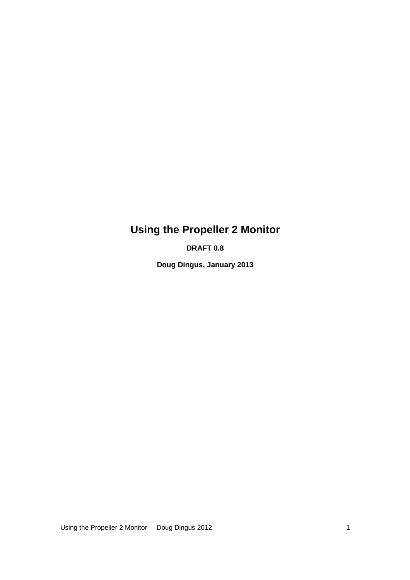# **Using the Propeller 2 Monitor**

**DRAFT 0.8** 

**Doug Dingus, January 2013** 

Using the Propeller 2 Monitor Doug Dingus 2012 1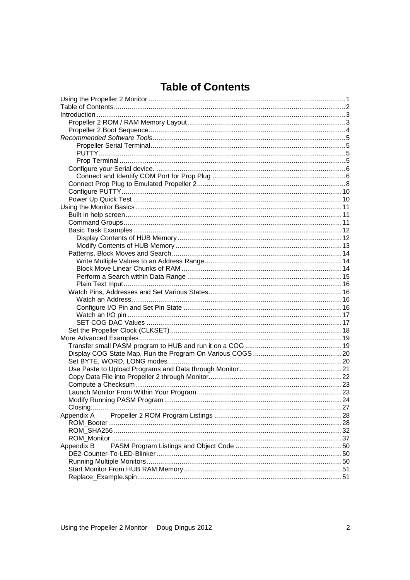# **Table of Contents**

| Appendix A |  |
|------------|--|
|            |  |
|            |  |
|            |  |
| Appendix B |  |
|            |  |
|            |  |
|            |  |
|            |  |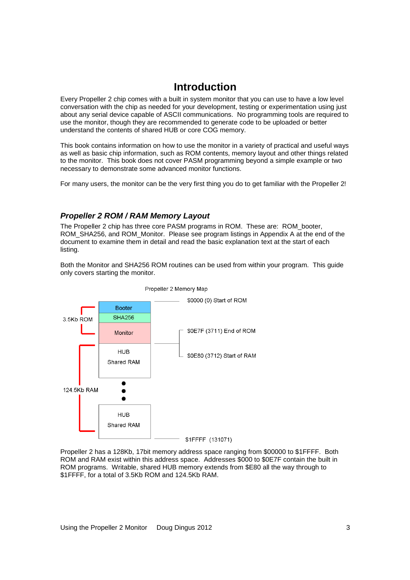# **Introduction**

Every Propeller 2 chip comes with a built in system monitor that you can use to have a low level conversation with the chip as needed for your development, testing or experimentation using just about any serial device capable of ASCII communications. No programming tools are required to use the monitor, though they are recommended to generate code to be uploaded or better understand the contents of shared HUB or core COG memory.

This book contains information on how to use the monitor in a variety of practical and useful ways as well as basic chip information, such as ROM contents, memory layout and other things related to the monitor. This book does not cover PASM programming beyond a simple example or two necessary to demonstrate some advanced monitor functions.

For many users, the monitor can be the very first thing you do to get familiar with the Propeller 2!

# **Propeller 2 ROM / RAM Memory Layout**

The Propeller 2 chip has three core PASM programs in ROM. These are: ROM\_booter, ROM\_SHA256, and ROM\_Monitor. Please see program listings in Appendix A at the end of the document to examine them in detail and read the basic explanation text at the start of each listing.

Both the Monitor and SHA256 ROM routines can be used from within your program. This guide only covers starting the monitor.



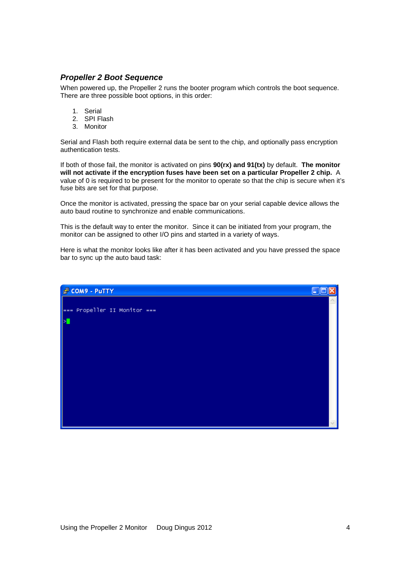# **Propeller 2 Boot Sequence**

When powered up, the Propeller 2 runs the booter program which controls the boot sequence. There are three possible boot options, in this order:

- 1. Serial
- 2. SPI Flash
- 3. Monitor

Serial and Flash both require external data be sent to the chip, and optionally pass encryption authentication tests.

If both of those fail, the monitor is activated on pins **90(rx) and 91(tx)** by default. **The monitor will not activate if the encryption fuses have been set on a particular Propeller 2 chip.** A value of 0 is required to be present for the monitor to operate so that the chip is secure when it's fuse bits are set for that purpose.

Once the monitor is activated, pressing the space bar on your serial capable device allows the auto baud routine to synchronize and enable communications.

This is the default way to enter the monitor. Since it can be initiated from your program, the monitor can be assigned to other I/O pins and started in a variety of ways.

Here is what the monitor looks like after it has been activated and you have pressed the space bar to sync up the auto baud task:

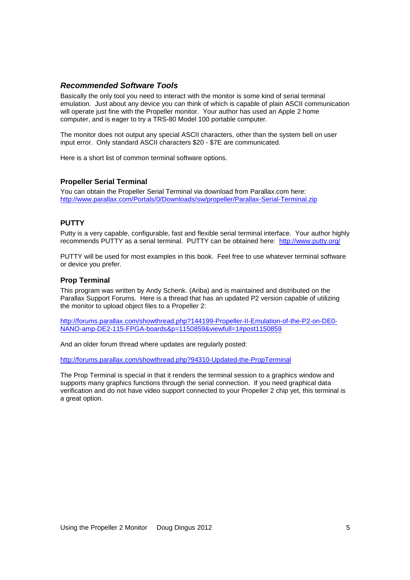## **Recommended Software Tools**

Basically the only tool you need to interact with the monitor is some kind of serial terminal emulation. Just about any device you can think of which is capable of plain ASCII communication will operate just fine with the Propeller monitor. Your author has used an Apple 2 home computer, and is eager to try a TRS-80 Model 100 portable computer.

The monitor does not output any special ASCII characters, other than the system bell on user input error. Only standard ASCII characters \$20 - \$7E are communicated.

Here is a short list of common terminal software options.

## **Propeller Serial Terminal**

You can obtain the Propeller Serial Terminal via download from Parallax.com here: http://www.parallax.com/Portals/0/Downloads/sw/propeller/Parallax-Serial-Terminal.zip

## **PUTTY**

Putty is a very capable, configurable, fast and flexible serial terminal interface. Your author highly recommends PUTTY as a serial terminal. PUTTY can be obtained here: http://www.putty.org/

PUTTY will be used for most examples in this book. Feel free to use whatever terminal software or device you prefer.

## **Prop Terminal**

This program was written by Andy Schenk. (Ariba) and is maintained and distributed on the Parallax Support Forums. Here is a thread that has an updated P2 version capable of utilizing the monitor to upload object files to a Propeller 2:

http://forums.parallax.com/showthread.php?144199-Propeller-II-Emulation-of-the-P2-on-DE0- NANO-amp-DE2-115-FPGA-boards&p=1150859&viewfull=1#post1150859

And an older forum thread where updates are regularly posted:

http://forums.parallax.com/showthread.php?94310-Updated-the-PropTerminal

The Prop Terminal is special in that it renders the terminal session to a graphics window and supports many graphics functions through the serial connection. If you need graphical data verification and do not have video support connected to your Propeller 2 chip yet, this terminal is a great option.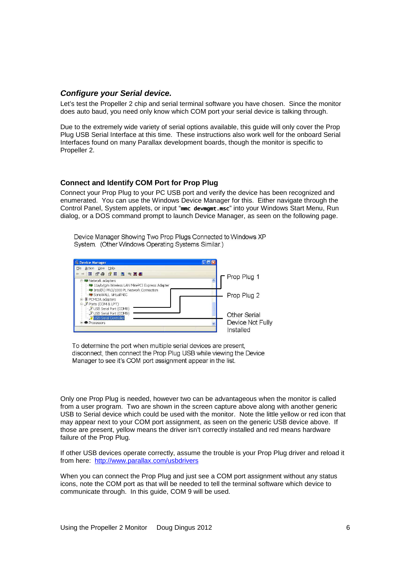## **Configure your Serial device.**

Let's test the Propeller 2 chip and serial terminal software you have chosen. Since the monitor does auto baud, you need only know which COM port your serial device is talking through.

Due to the extremely wide variety of serial options available, this guide will only cover the Prop Plug USB Serial Interface at this time. These instructions also work well for the onboard Serial Interfaces found on many Parallax development boards, though the monitor is specific to Propeller 2.

## **Connect and Identify COM Port for Prop Plug**

Connect your Prop Plug to your PC USB port and verify the device has been recognized and enumerated. You can use the Windows Device Manager for this. Either navigate through the Control Panel, System applets, or input "mmc devmgmt.msc" into your Windows Start Menu, Run dialog, or a DOS command prompt to launch Device Manager, as seen on the following page.

Device Manager Showing Two Prop Plugs Connected to Windows XP System. (Other Windows Operating Systems Similar.)



To determine the port when multiple serial devices are present, disconnect, then connect the Prop Plug USB while viewing the Device Manager to see it's COM port assignment appear in the list.

Only one Prop Plug is needed, however two can be advantageous when the monitor is called from a user program. Two are shown in the screen capture above along with another generic USB to Serial device which could be used with the monitor. Note the little yellow or red icon that may appear next to your COM port assignment, as seen on the generic USB device above. If those are present, yellow means the driver isn't correctly installed and red means hardware failure of the Prop Plug.

If other USB devices operate correctly, assume the trouble is your Prop Plug driver and reload it from here: http://www.parallax.com/usbdrivers

When you can connect the Prop Plug and just see a COM port assignment without any status icons, note the COM port as that will be needed to tell the terminal software which device to communicate through. In this guide, COM 9 will be used.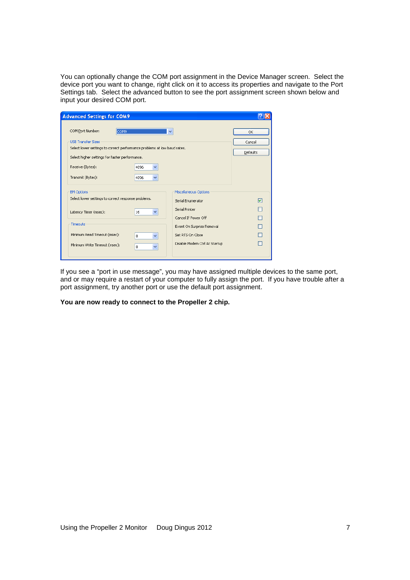You can optionally change the COM port assignment in the Device Manager screen. Select the device port you want to change, right click on it to access its properties and navigate to the Port Settings tab. Select the advanced button to see the port assignment screen shown below and input your desired COM port.

| $\checkmark$                                                             | OK              |  |  |  |  |  |  |  |  |  |
|--------------------------------------------------------------------------|-----------------|--|--|--|--|--|--|--|--|--|
|                                                                          | Cancel          |  |  |  |  |  |  |  |  |  |
| Select lower settings to correct performance problems at low baud rates. |                 |  |  |  |  |  |  |  |  |  |
|                                                                          | <b>Defaults</b> |  |  |  |  |  |  |  |  |  |
|                                                                          |                 |  |  |  |  |  |  |  |  |  |
|                                                                          |                 |  |  |  |  |  |  |  |  |  |
| Miscellaneous Options                                                    |                 |  |  |  |  |  |  |  |  |  |
| Serial Enumerator                                                        | ☑               |  |  |  |  |  |  |  |  |  |
| Serial Printer                                                           |                 |  |  |  |  |  |  |  |  |  |
| Cancel If Power Off                                                      |                 |  |  |  |  |  |  |  |  |  |
| Event On Surprise Removal                                                |                 |  |  |  |  |  |  |  |  |  |
| Set RTS On Close                                                         |                 |  |  |  |  |  |  |  |  |  |
| Disable Modem Ctrl At Startup                                            |                 |  |  |  |  |  |  |  |  |  |
|                                                                          |                 |  |  |  |  |  |  |  |  |  |

If you see a "port in use message", you may have assigned multiple devices to the same port, and or may require a restart of your computer to fully assign the port. If you have trouble after a port assignment, try another port or use the default port assignment.

**You are now ready to connect to the Propeller 2 chip.**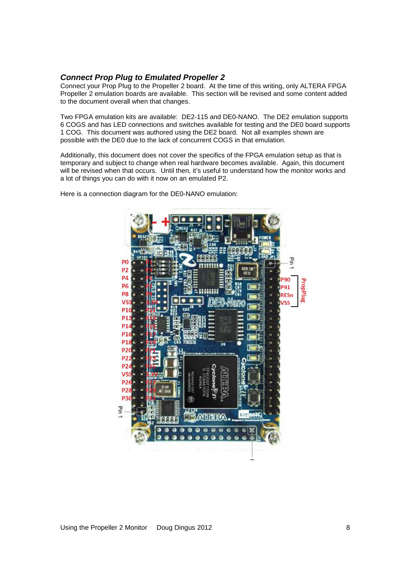## **Connect Prop Plug to Emulated Propeller 2**

Connect your Prop Plug to the Propeller 2 board. At the time of this writing, only ALTERA FPGA Propeller 2 emulation boards are available. This section will be revised and some content added to the document overall when that changes.

Two FPGA emulation kits are available: DE2-115 and DE0-NANO. The DE2 emulation supports 6 COGS and has LED connections and switches available for testing and the DE0 board supports 1 COG. This document was authored using the DE2 board. Not all examples shown are possible with the DE0 due to the lack of concurrent COGS in that emulation.

Additionally, this document does not cover the specifics of the FPGA emulation setup as that is temporary and subject to change when real hardware becomes available. Again, this document will be revised when that occurs. Until then, it's useful to understand how the monitor works and a lot of things you can do with it now on an emulated P2.

Here is a connection diagram for the DE0-NANO emulation:

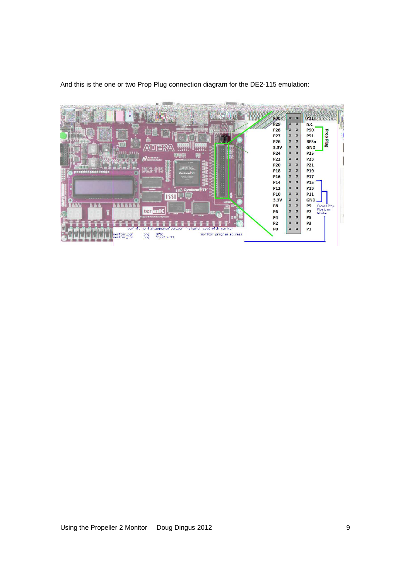

And this is the one or two Prop Plug connection diagram for the DE2-115 emulation: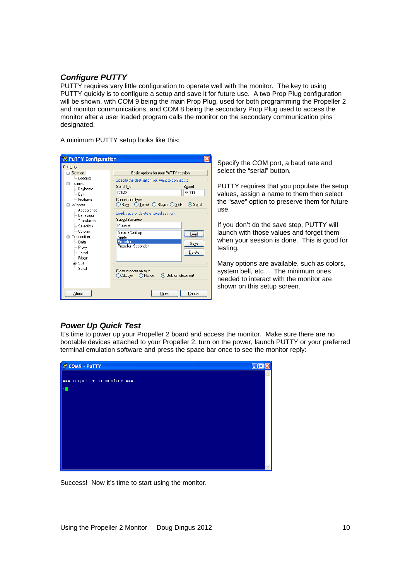# **Configure PUTTY**

PUTTY requires very little configuration to operate well with the monitor. The key to using PUTTY quickly is to configure a setup and save it for future use. A two Prop Plug configuration will be shown, with COM 9 being the main Prop Plug, used for both programming the Propeller 2 and monitor communications, and COM 8 being the secondary Prop Plug used to access the monitor after a user loaded program calls the monitor on the secondary communication pins designated.

A minimum PUTTY setup looks like this:

| <b>X</b> PuTTY Configuration                                                                                                                                                                                                                                                   |                                                                                                                                                                                                                                                                                                                                                                                                                                                 |
|--------------------------------------------------------------------------------------------------------------------------------------------------------------------------------------------------------------------------------------------------------------------------------|-------------------------------------------------------------------------------------------------------------------------------------------------------------------------------------------------------------------------------------------------------------------------------------------------------------------------------------------------------------------------------------------------------------------------------------------------|
| Category:                                                                                                                                                                                                                                                                      |                                                                                                                                                                                                                                                                                                                                                                                                                                                 |
| Session<br>lim Logging<br>⊟- Terminali<br>-- Keyboard<br>i… Belli<br><b>Eeatures</b><br>- Window<br>- Appearance<br>-- Rehaviour<br>$-$ Translation<br>Selection<br><sup>i…</sup> Colours<br>⊟- Connection<br>l— Data<br>— Proxv<br>— Telnet<br>- Rlogin<br>⊞- SSH<br>— Serial | Basic options for your PuTTY session<br>Specify the destination you want to connect to<br>Serial line<br>Speed<br>COM <sub>9</sub><br>96000<br>Connection type:<br>DRaw OIelnet ORlogin OSSH<br>⊙ Serial<br>Load, save or delete a stored session<br>Saved Sessions<br>Propeller<br>Default Settings<br>Load<br>Apple<br>Propeller<br>Saye<br>Propeller Secondary<br>Delete<br>Close window on exit:<br>O Only on clean exit<br>Always<br>Never |
| About                                                                                                                                                                                                                                                                          | Cancel<br>Open                                                                                                                                                                                                                                                                                                                                                                                                                                  |

Specify the COM port, a baud rate and select the "serial" button.

PUTTY requires that you populate the setup values, assign a name to them then select the "save" option to preserve them for future use.

If you don't do the save step, PUTTY will launch with those values and forget them when your session is done. This is good for testing.

Many options are available, such as colors, system bell, etc… The minimum ones needed to interact with the monitor are shown on this setup screen.

# **Power Up Quick Test**

It's time to power up your Propeller 2 board and access the monitor. Make sure there are no bootable devices attached to your Propeller 2, turn on the power, launch PUTTY or your preferred terminal emulation software and press the space bar once to see the monitor reply:



Success! Now it's time to start using the monitor.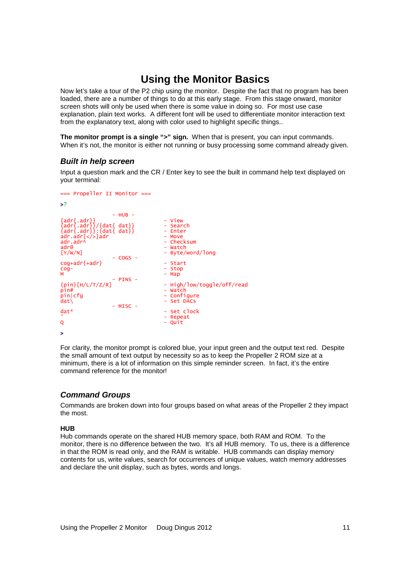# **Using the Monitor Basics**

Now let's take a tour of the P2 chip using the monitor. Despite the fact that no program has been loaded, there are a number of things to do at this early stage. From this stage onward, monitor screen shots will only be used when there is some value in doing so. For most use case explanation, plain text works. A different font will be used to differentiate monitor interaction text from the explanatory text, along with color used to highlight specific things..

**The monitor prompt is a single ">" sign.** When that is present, you can input commands. When it's not, the monitor is either not running or busy processing some command already given.

## **Built in help screen**

Input a question mark and the CR / Enter key to see the built in command help text displayed on your terminal:

```
=== Propeller II Monitor === 
>?
 - HUB - 
{adr{.adr}} - View 
{adr{.adr}}/{dat{ dat}} - Search 
{adr{.adr}}:{dat{ dat}} - Enter 
adr.adr[</>]adr - Move 
adr.adr^ - Checksum 
adr@ - watch<br>
[Y/W/N] - Byte/word/long<br>
- Byte/word/long
[Y/W/N] - Byte/word/long 
 - COGS - 
cog+adr{+adr} - Start 
cog- - Stop 
M - Map 
- PINS -<br>{pin}[H/L/T/Z/R]
{pin}_{\text{min}}[H/L/T/Z/R] - High/low/toggle/off/read<br>nin#
pin# - Watch<br>pin# - Watch<br>pin|cfg - Confi
pin|cfg - Configure 
dat\ - Set DACs 
\frac{d}{dt} - MISC -<br>dat*
                                   - Set clock
' - Repeat 
                                   - Quit
>
```
For clarity, the monitor prompt is colored blue, your input green and the output text red. Despite the small amount of text output by necessity so as to keep the Propeller 2 ROM size at a minimum, there is a lot of information on this simple reminder screen. In fact, it's the entire command reference for the monitor!

# **Command Groups**

Commands are broken down into four groups based on what areas of the Propeller 2 they impact the most.

## **HUB**

Hub commands operate on the shared HUB memory space, both RAM and ROM. To the monitor, there is no difference between the two. It's all HUB memory. To us, there is a difference in that the ROM is read only, and the RAM is writable. HUB commands can display memory contents for us, write values, search for occurrences of unique values, watch memory addresses and declare the unit display, such as bytes, words and longs.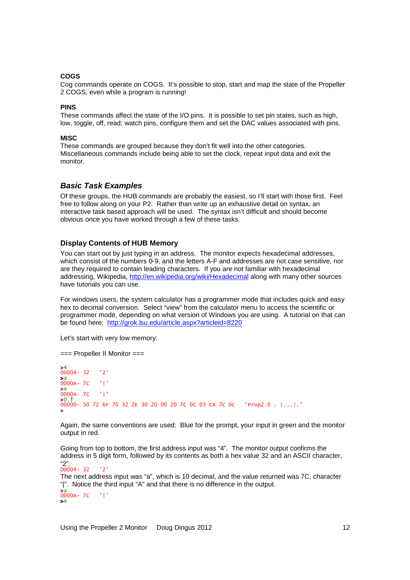## **COGS**

Cog commands operate on COGS. It's possible to stop, start and map the state of the Propeller 2 COGS, even while a program is running!

#### **PINS**

These commands affect the state of the I/O pins. It is possible to set pin states, such as high, low, toggle, off, read; watch pins, configure them and set the DAC values associated with pins.

#### **MISC**

These commands are grouped because they don't fit well into the other categories. Miscellaneous commands include being able to set the clock, repeat input data and exit the monitor.

### **Basic Task Examples**

Of these groups, the HUB commands are probably the easiest, so I'll start with those first. Feel free to follow along on your P2. Rather than write up an exhaustive detail on syntax, an interactive task based approach will be used. The syntax isn't difficult and should become obvious once you have worked through a few of these tasks.

### **Display Contents of HUB Memory**

You can start out by just typing in an address. The monitor expects hexadecimal addresses, which consist of the numbers 0-9, and the letters A-F and addresses are not case sensitive, nor are they required to contain leading characters. If you are not familiar with hexadecimal addressing, Wikipedia, http://en.wikipedia.org/wiki/Hexadecimal along with many other sources have tutorials you can use.

For windows users, the system calculator has a programmer mode that includes quick and easy hex to decimal conversion. Select "view" from the calculator menu to access the scientific or programmer mode, depending on what version of Windows you are using. A tutorial on that can be found here: http://grok.lsu.edu/article.aspx?articleid=8220

Let's start with very low memory:

=== Propeller II Monitor === >4 00004- 32 '2' >a 0000A- 7C '|' >A 0000A- 7C '|' >0.f 00000- 50 72 6F 70 32 2E 30 20 00 20 7C 0C 03 CA 7C 0C 'Prop2.0 . |...|.' >

Again, the same conventions are used: Blue for the prompt, your input in green and the monitor output in red.

Going from top to bottom, the first address input was "4". The monitor output confirms the address in 5 digit form, followed by its contents as both a hex value 32 and an ASCII character,

"2". 00004- 32 '2' The next address input was "a", which is 10 decimal, and the value returned was 7C, character "|". Notice the third input "A" and that there is no difference in the output. >a 0000A- 7C '|' >A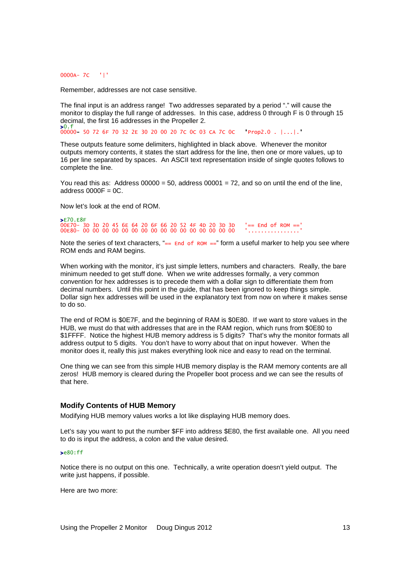0000A- 7C '|'

Remember, addresses are not case sensitive.

The final input is an address range! Two addresses separated by a period "." will cause the monitor to display the full range of addresses. In this case, address 0 through F is 0 through 15 decimal, the first 16 addresses in the Propeller 2.

>0.f 00000- 50 72 6F 70 32 2E 30 20 00 20 7C 0C 03 CA 7C 0C 'Prop2.0 . |...|.'

These outputs feature some delimiters, highlighted in black above. Whenever the monitor outputs memory contents, it states the start address for the line, then one or more values, up to 16 per line separated by spaces. An ASCII text representation inside of single quotes follows to complete the line.

You read this as: Address  $00000 = 50$ , address  $00001 = 72$ , and so on until the end of the line, address  $0000F = 0C$ .

Now let's look at the end of ROM.

>E70.E8F 00E70- 3D 3D 20 45 6E 64 20 6F 66 20 52 4F 4D 20 3D 3D '== End of ROM ==' 00E80- 00 00 00 00 00 00 00 00 00 00 00 00 00 00 00 00 '................'

Note the series of text characters,  $\equiv$  End of ROM  $=$ " form a useful marker to help you see where ROM ends and RAM begins.

When working with the monitor, it's just simple letters, numbers and characters. Really, the bare minimum needed to get stuff done. When we write addresses formally, a very common convention for hex addresses is to precede them with a dollar sign to differentiate them from decimal numbers. Until this point in the guide, that has been ignored to keep things simple. Dollar sign hex addresses will be used in the explanatory text from now on where it makes sense to do so.

The end of ROM is \$0E7F, and the beginning of RAM is \$0E80. If we want to store values in the HUB, we must do that with addresses that are in the RAM region, which runs from \$0E80 to \$1FFFF. Notice the highest HUB memory address is 5 digits? That's why the monitor formats all address output to 5 digits. You don't have to worry about that on input however. When the monitor does it, really this just makes everything look nice and easy to read on the terminal.

One thing we can see from this simple HUB memory display is the RAM memory contents are all zeros! HUB memory is cleared during the Propeller boot process and we can see the results of that here.

#### **Modify Contents of HUB Memory**

Modifying HUB memory values works a lot like displaying HUB memory does.

Let's say you want to put the number \$FF into address \$E80, the first available one. All you need to do is input the address, a colon and the value desired.

#### >e80:ff

Notice there is no output on this one. Technically, a write operation doesn't yield output. The write just happens, if possible.

Here are two more: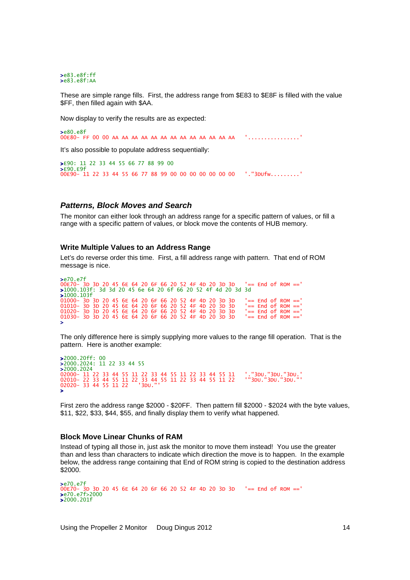>e83.e8f:ff >e83.e8f:AA

These are simple range fills. First, the address range from \$E83 to \$E8F is filled with the value \$FF, then filled again with \$AA.

Now display to verify the results are as expected:

```
>e80.e8f
00E80- FF 00 00 AA AA AA AA AA AA AA AA AA AA AA AA AA '................'
```
It's also possible to populate address sequentially:

```
>E90: 11 22 33 44 55 66 77 88 99 00 
>E90.E9f
00E90- 11 22 33 44 55 66 77 88 99 00 00 00 00 00 00 00 '."3DUfw.........'
```
### **Patterns, Block Moves and Search**

The monitor can either look through an address range for a specific pattern of values, or fill a range with a specific pattern of values, or block move the contents of HUB memory.

#### **Write Multiple Values to an Address Range**

Let's do reverse order this time. First, a fill address range with pattern. That end of ROM message is nice.

```
>e70.e7f
00E70- 3D 3D 20 45 6E 64 20 6F 66 20 52 4F 4D 20 3D 3D '== End of ROM ==' 
>1000.103f: 3d 3d 20 45 6e 64 20 6f 66 20 52 4f 4d 20 3d 3d 
>1000.103f
01000- 3D 3D 20 45 6E 64 20 6F 66 20 52 4F 4D 20 3D 3D   '== End of ROM =='<br>01010- 3D 3D 20 45 6E 64 20 6F 66 20 52 4F 4D 20 3D 3D   '== End of ROM =='
01020- 3D 3D 20 45 6E 64 20 6F 66 20 52 4F 4D 20 3D 3D   '== End of ROM =='<br>01030- 3D 3D 20 45 6E 64 20 6F 66 20 52 4F 4D 20 3D 3D   '== End of ROM =='
>
```
The only difference here is simply supplying more values to the range fill operation. That is the pattern. Here is another example:

```
>2000.20ff: 00
>2000.2024: 11 22 33 44 55 
>2000.2024
02000- 11 22 33 44 55 11 22 33 44 55 11 22 33 44 55 11   '."3DU."3DU."3DU."<br>02010- 22 33 44 55 11 22 33 44 55 11 22 33 44 55 11 22   '"3DU."3DU."3DU."'<br>><br>>
```
First zero the address range \$2000 - \$20FF. Then pattern fill \$2000 - \$2024 with the byte values, \$11, \$22, \$33, \$44, \$55, and finally display them to verify what happened.

#### **Block Move Linear Chunks of RAM**

Instead of typing all those in, just ask the monitor to move them instead! You use the greater than and less than characters to indicate which direction the move is to happen. In the example below, the address range containing that End of ROM string is copied to the destination address \$2000.

```
>e70.e7f
00E70- 3D 3D 20 45 6E 64 20 6F 66 20 52 4F 4D 20 3D 3D '== End of ROM ==' 
>e70.e7f>2000
>2000.201f
```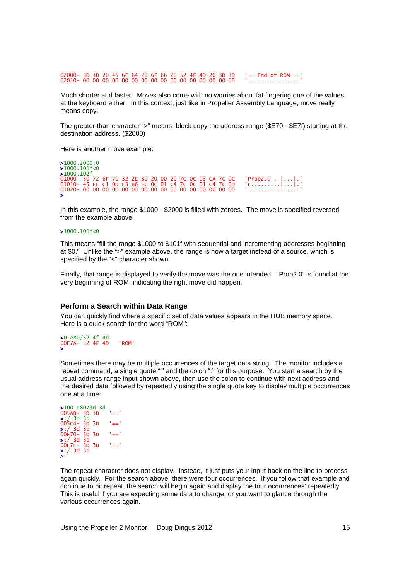02000- 3D 3D 20 45 6E 64 20 6F 66 20 52 4F 4D 20 3D 3D '== End of ROM ==' 02010- 00 00 00 00 00 00 00 00 00 00 00 00 00 00 00 00 '................'

Much shorter and faster! Moves also come with no worries about fat fingering one of the values at the keyboard either. In this context, just like in Propeller Assembly Language, move really means copy.

The greater than character ">" means, block copy the address range (\$E70 - \$E7f) starting at the destination address. (\$2000)

Here is another move example:

>1000.2000:0  $>1000.101$ f<0 >1000.102f 01000- 50 72 6F 70 32 2E 30 20 00 20 7C 0C 03 CA 7C 0C 'Prop2.0 . |...|.' 01010- 45 FE C1 0D E3 B6 FC 0C 01 C4 7C 0C 01 C4 7C 0D 'E.........|...|.' 01020- 00 00 00 00 00 00 00 00 00 00 00 00 00 00 00 00 '................' >

In this example, the range \$1000 - \$2000 is filled with zeroes. The move is specified reversed from the example above.

#### >1000.101f<0

This means "fill the range \$1000 to \$101f with sequential and incrementing addresses beginning at \$0." Unlike the ">" example above, the range is now a target instead of a source, which is specified by the "<" character shown.

Finally, that range is displayed to verify the move was the one intended. "Prop2.0" is found at the very beginning of ROM, indicating the right move did happen.

### **Perform a Search within Data Range**

You can quickly find where a specific set of data values appears in the HUB memory space. Here is a quick search for the word "ROM":

#### >0.e80/52 4f 4d 00E7A- 52 4F 4D 'ROM' >

Sometimes there may be multiple occurrences of the target data string. The monitor includes a repeat command, a single quote "" and the colon ":" for this purpose. You start a search by the usual address range input shown above, then use the colon to continue with next address and the desired data followed by repeatedly using the single quote key to display multiple occurrences one at a time:

```
>100.e80/3d 3d
005AB- 3D 3D '==' 
>:/ 3d 3d
005C4- 3D 3D '==' 
>:/ 3d 3d<br>00E70- 3D 3D '=='<br>>:/ 3d 3d<br>00E7E- 3D 3D '=='<br>>:/ 3d 3d<br>>
```
The repeat character does not display. Instead, it just puts your input back on the line to process again quickly. For the search above, there were four occurrences. If you follow that example and continue to hit repeat, the search will begin again and display the four occurrences' repeatedly. This is useful if you are expecting some data to change, or you want to glance through the various occurrences again.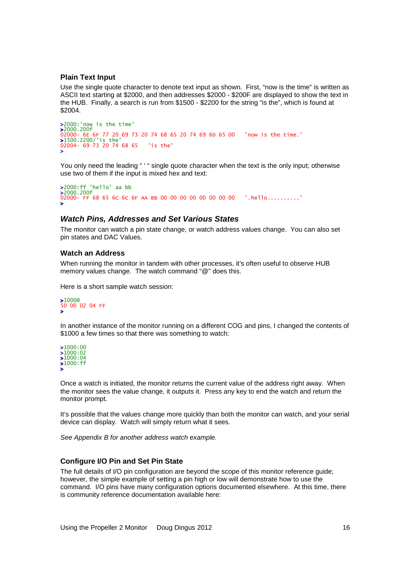#### **Plain Text Input**

Use the single quote character to denote text input as shown. First, "now is the time" is written as ASCII text starting at \$2000, and then addresses \$2000 - \$200F are displayed to show the text in the HUB. Finally, a search is run from \$1500 - \$2200 for the string "is the", which is found at \$2004.

```
>2000:'now is the time'
>2000.200f
02000- 6E 6F 77 20 69 73 20 74 68 65 20 74 69 6D 65 00 'now is the time.' 
>1500.2200/'is the'
02004- 69 73 20 74 68 65 'is the' 
>
```
You only need the leading " ' " single quote character when the text is the only input; otherwise use two of them if the input is mixed hex and text:

```
>2000:ff 'hello' aa bb 
>2000.200f 
02000- FF 68 65 6C 6C 6F AA BB 00 00 00 00 00 00 00 00 00 '.hello..........'
>
```
#### **Watch Pins, Addresses and Set Various States**

The monitor can watch a pin state change, or watch address values change. You can also set pin states and DAC Values.

## **Watch an Address**

When running the monitor in tandem with other processes, it's often useful to observe HUB memory values change. The watch command "@" does this.

Here is a short sample watch session:

>1000@ 50 00 02 04 FF >

In another instance of the monitor running on a different COG and pins, I changed the contents of \$1000 a few times so that there was something to watch:

>1000:00 >1000:02  $\frac{$1000:02}{1000:04}$ >1000:ff >

Once a watch is initiated, the monitor returns the current value of the address right away. When the monitor sees the value change, it outputs it. Press any key to end the watch and return the monitor prompt.

It's possible that the values change more quickly than both the monitor can watch, and your serial device can display. Watch will simply return what it sees.

See Appendix B for another address watch example.

#### **Configure I/O Pin and Set Pin State**

The full details of I/O pin configuration are beyond the scope of this monitor reference guide; however, the simple example of setting a pin high or low will demonstrate how to use the command. I/O pins have many configuration options documented elsewhere. At this time, there is community reference documentation available here: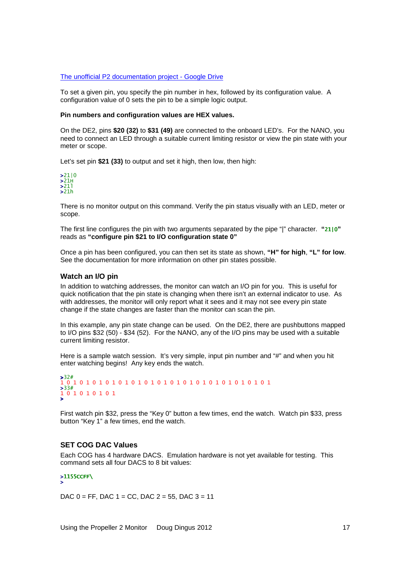#### The unofficial P2 documentation project - Google Drive

To set a given pin, you specify the pin number in hex, followed by its configuration value. A configuration value of 0 sets the pin to be a simple logic output.

#### **Pin numbers and configuration values are HEX values.**

On the DE2, pins **\$20 (32)** to **\$31 (49)** are connected to the onboard LED's. For the NANO, you need to connect an LED through a suitable current limiting resistor or view the pin state with your meter or scope.

Let's set pin **\$21 (33)** to output and set it high, then low, then high:



There is no monitor output on this command. Verify the pin status visually with an LED, meter or scope.

The first line configures the pin with two arguments separated by the pipe "|" character. **"**21|0**"** reads as **"configure pin \$21 to I/O configuration state 0"** 

Once a pin has been configured, you can then set its state as shown, **"H" for high**, **"L" for low**. See the documentation for more information on other pin states possible.

### **Watch an I/O pin**

In addition to watching addresses, the monitor can watch an I/O pin for you. This is useful for quick notification that the pin state is changing when there isn't an external indicator to use. As with addresses, the monitor will only report what it sees and it may not see every pin state change if the state changes are faster than the monitor can scan the pin.

In this example, any pin state change can be used. On the DE2, there are pushbuttons mapped to I/O pins \$32 (50) - \$34 (52). For the NANO, any of the I/O pins may be used with a suitable current limiting resistor.

Here is a sample watch session. It's very simple, input pin number and "#" and when you hit enter watching begins! Any key ends the watch.

```
>32#
1 0 1 0 1 0 1 0 1 0 1 0 1 0 1 0 1 0 1 0 1 0 1 0 1 0 1 0 1 0 1 0 1 
>33#1 0 1 0 1 0 1 0 1 
>
```
First watch pin \$32, press the "Key 0" button a few times, end the watch. Watch pin \$33, press button "Key 1" a few times, end the watch.

### **SET COG DAC Values**

Each COG has 4 hardware DACS. Emulation hardware is not yet available for testing. This command sets all four DACS to 8 bit values:

# >1155CCFF\<br>>

DAC  $0 = FF$ , DAC  $1 = CC$ , DAC  $2 = 55$ , DAC  $3 = 11$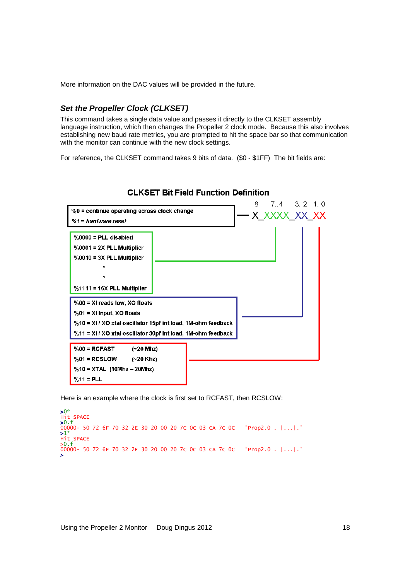More information on the DAC values will be provided in the future.

# **Set the Propeller Clock (CLKSET)**

This command takes a single data value and passes it directly to the CLKSET assembly language instruction, which then changes the Propeller 2 clock mode. Because this also involves establishing new baud rate metrics, you are prompted to hit the space bar so that communication with the monitor can continue with the new clock settings.

For reference, the CLKSET command takes 9 bits of data. (\$0 - \$1FF) The bit fields are:



## **CLKSET Bit Field Function Definition**

Here is an example where the clock is first set to RCFAST, then RCSLOW:

>0\* Hit SPACE >0.f 00000- 50 72 6F 70 32 2E 30 20 00 20 7C 0C 03 CA 7C 0C 'Prop2.0 . |...|.' >1\* Hit SPACE >0.f 00000- 50 72 6F 70 32 2E 30 20 00 20 7C 0C 03 CA 7C 0C 'Prop2.0 . |...|.' >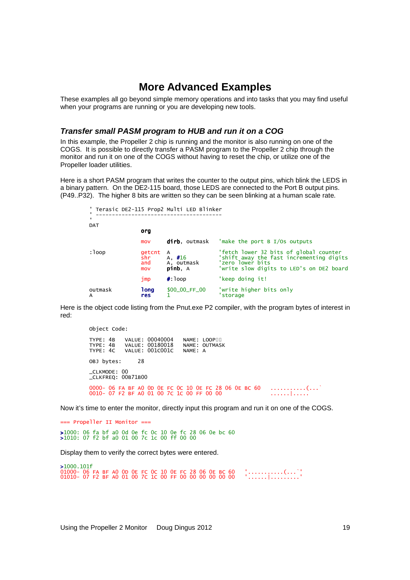# **More Advanced Examples**

These examples all go beyond simple memory operations and into tasks that you may find useful when your programs are running or you are developing new tools.

## **Transfer small PASM program to HUB and run it on a COG**

In this example, the Propeller 2 chip is running and the monitor is also running on one of the COGS. It is possible to directly transfer a PASM program to the Propeller 2 chip through the monitor and run it on one of the COGS without having to reset the chip, or utilize one of the Propeller loader utilities.

Here is a short PASM program that writes the counter to the output pins, which blink the LEDS in a binary pattern. On the DE2-115 board, those LEDS are connected to the Port B output pins. (P49..P32). The higher 8 bits are written so they can be seen blinking at a human scale rate.

|              |                              | ' Terasic DE2-115 Prop2 Multi LED Blinker |                                                                                                                                                    |
|--------------|------------------------------|-------------------------------------------|----------------------------------------------------------------------------------------------------------------------------------------------------|
|              |                              |                                           |                                                                                                                                                    |
| <b>DAT</b>   |                              |                                           |                                                                                                                                                    |
|              | org                          |                                           |                                                                                                                                                    |
|              | mov                          | dirb, outmask                             | 'make the port $B I/Os$ outputs                                                                                                                    |
| : loop       | getcnt<br>shr.<br>and<br>mov | A<br>A. $#16$<br>A, outmask<br>pinb, A    | 'fetch lower 32 bits of global counter<br>'shift away the fast incrementing digits<br>'zero lower bits<br>'write slow digits to LED's on DE2 board |
|              | $\lim p$                     | $\#$ : 100p                               | 'keep doing it!                                                                                                                                    |
| outmask<br>A | <b>long</b><br><b>res</b>    | \$00_00_FF_00                             | 'write higher bits only<br>storage                                                                                                                 |

Here is the object code listing from the Pnut.exe P2 compiler, with the program bytes of interest in red:

Object Code: TYPE: 4B VALUE: 00040004 NAME: LOOP□□<br>TYPE: 4B VALUE: 00180018 NAME: OUTMASK<br>TYPE: 4C VALUE: 001C001C NAME: A OBJ bytes: 28 \_CLKMODE: 00 \_CLKFREQ: 00B71B00 0000- 06 FA BF A0 0D 0E FC 0C 10 0E FC 28 06 0E BC 60 ...........(...` 0010- 07 F2 BF A0 01 00 7C 1C 00 FF 00 00 ......|.....

Now it's time to enter the monitor, directly input this program and run it on one of the COGS.

=== Propeller II Monitor === >1000: 06 fa bf a0 0d 0e fc 0c 10 0e fc 28 06 0e bc 60 >1010: 07 f2 bf a0 01 00 7c 1c 00 ff 00 00

Display them to verify the correct bytes were entered.

>1000.101f 01000- 06 FA BF A0 0D 0E FC 0C 10 0E FC 28 06 0E BC 60 '...........(...`' 01010- 07 F2 BF A0 01 00 7C 1C 00 FF 00 00 00 00 00 00 '......|.........'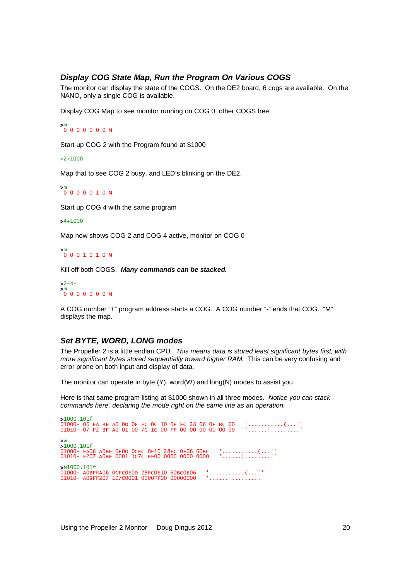# **Display COG State Map, Run the Program On Various COGS**

The monitor can display the state of the COGS. On the DE2 board, 6 cogs are available. On the NANO, only a single COG is available.

Display COG Map to see monitor running on COG 0, other COGS free.

```
>m
 0 0 0 0 0 0 0 M
```
Start up COG 2 with the Program found at \$1000

>2+1000

Map that to see COG 2 busy, and LED's blinking on the DE2.

>m 0 0 0 0 0 1 0 M

Start up COG 4 with the same program

#### $>4+1000$

Map now shows COG 2 and COG 4 active, monitor on COG 0

>m 0 0 0 1 0 1 0 M

Kill off both COGS. **Many commands can be stacked.**

 $>2-4-$ >m 0 0 0 0 0 0 0 M

A COG number "+" program address starts a COG. A COG number "-" ends that COG. "M" displays the map.

## **Set BYTE, WORD, LONG modes**

The Propeller 2 is a little endian CPU. This means data is stored least significant bytes first, with more significant bytes stored sequentially toward higher RAM. This can be very confusing and error prone on both input and display of data.

The monitor can operate in byte (Y), word(W) and long(N) modes to assist you.

Here is that same program listing at \$1000 shown in all three modes. Notice you can stack commands here, declaring the mode right on the same line as an operation.

>1000.101f 01000- 06 FA BF A0 OD 0E FC OC 10 0E FC 28 06 0E BC 60 '...........(...`'<br>01010- 07 F2 BF A0 01 00 7C 1C 00 FF 00 00 00 00 00 00 ''......|.........'' >w >1000.101f 01000- FA06 A0BF 0E0D 0CFC 0E10 28FC 0E06 60BC '...........(...`' 01010- F207 A0BF 0001 1C7C FF00 0000 0000 0000 '......|.........' >N1000.101f 01000- AOBFFAO6 OCFCOEOD 28FCOE1O 6OBCOE06 '...........(...`'<br>01010- AOBFF2O7 1C7COOO1 0000FF00 00000000 '......|.........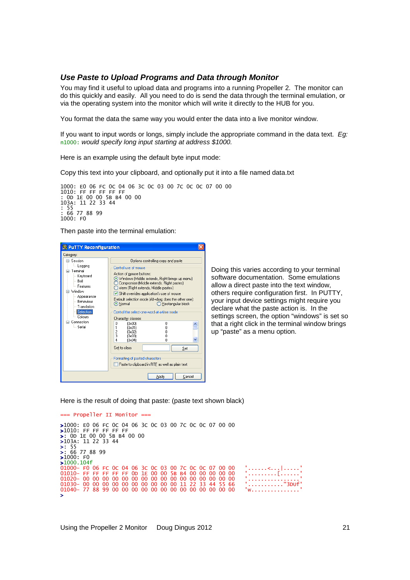## **Use Paste to Upload Programs and Data through Monitor**

You may find it useful to upload data and programs into a running Propeller 2. The monitor can do this quickly and easily. All you need to do is send the data through the terminal emulation, or via the operating system into the monitor which will write it directly to the HUB for you.

You format the data the same way you would enter the data into a live monitor window.

If you want to input words or longs, simply include the appropriate command in the data text. Eg: n1000: would specify long input starting at address \$1000.

Here is an example using the default byte input mode:

Copy this text into your clipboard, and optionally put it into a file named data.txt



Then paste into the terminal emulation:



Doing this varies according to your terminal software documentation. Some emulations allow a direct paste into the text window, others require configuration first. In PUTTY, your input device settings might require you declare what the paste action is. In the settings screen, the option "windows" is set so that a right click in the terminal window brings up "paste" as a menu option.

Here is the result of doing that paste: (paste text shown black)

```
=== Propeller II Monitor === 
>1000: E0 06 FC 0C 04 06 3C 0C 03 00 7C 0C 0C 07 00 00 
>1010: FF FF FF FF FF 
>: 0D 1E 00 00 5B B4 00 00 
>103A: 11 22 33 44 
>: 55 
>: 66 77 88 99 
51000: F0>1000.104f
01000- F0 06 FC 0C 04 06 3C 0C 03 00 7C 0C 0C 07 00 00 '......<...|.....' 
01010- FF FF FF FF FF 0D 1E 00 00 5B B4 00 00 00 00 00 '.........[......' 
01020- 00 00 00 00 00 00 00 00 00 00 00 00 00 00 00 00 '................' 
01030- 00 00 00 00 00 00 00 00 00 00 11 22 33 44 55 66 '..........."3DUf' 
01040- 77 88 99 00 00 00 00 00 00 00 00 00 00 00 00 00 'w...............' 
>
```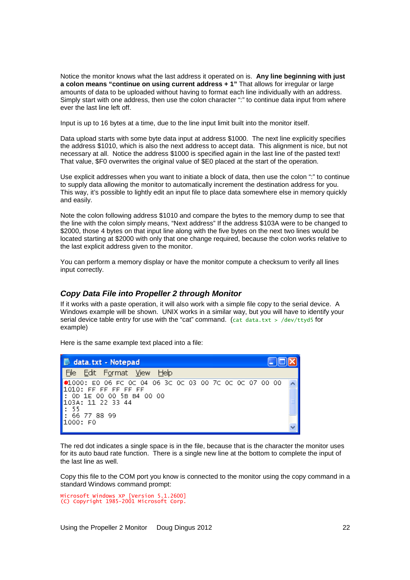Notice the monitor knows what the last address it operated on is. **Any line beginning with just a colon means "continue on using current address + 1"** That allows for irregular or large amounts of data to be uploaded without having to format each line individually with an address. Simply start with one address, then use the colon character ":" to continue data input from where ever the last line left off.

Input is up to 16 bytes at a time, due to the line input limit built into the monitor itself.

Data upload starts with some byte data input at address \$1000. The next line explicitly specifies the address \$1010, which is also the next address to accept data. This alignment is nice, but not necessary at all. Notice the address \$1000 is specified again in the last line of the pasted text! That value, \$F0 overwrites the original value of \$E0 placed at the start of the operation.

Use explicit addresses when you want to initiate a block of data, then use the colon ":" to continue to supply data allowing the monitor to automatically increment the destination address for you. This way, it's possible to lightly edit an input file to place data somewhere else in memory quickly and easily.

Note the colon following address \$1010 and compare the bytes to the memory dump to see that the line with the colon simply means, "Next address" If the address \$103A were to be changed to \$2000, those 4 bytes on that input line along with the five bytes on the next two lines would be located starting at \$2000 with only that one change required, because the colon works relative to the last explicit address given to the monitor.

You can perform a memory display or have the monitor compute a checksum to verify all lines input correctly.

## **Copy Data File into Propeller 2 through Monitor**

If it works with a paste operation, it will also work with a simple file copy to the serial device. A Windows example will be shown. UNIX works in a similar way, but you will have to identify your serial device table entry for use with the "cat" command. (cat data.txt > /dev/ttyd5 for example)

Here is the same example text placed into a file:

| data.txt - Notepad                                      |  |  |  |  |  |  |  |  |  |
|---------------------------------------------------------|--|--|--|--|--|--|--|--|--|
| File<br>Edit F <u>o</u> rmat <u>V</u> iew<br>Help       |  |  |  |  |  |  |  |  |  |
| (≉1000: E0 06 FC 0C 04 06 3C 0C 03 00 7C 0C 0C 07 00 00 |  |  |  |  |  |  |  |  |  |
| $1010:$ FF FF FF FF FF                                  |  |  |  |  |  |  |  |  |  |
| $\mathsf{I}:$ OD 1E 00 00 5B B4 00 00                   |  |  |  |  |  |  |  |  |  |
| 103A: 11 22 33 44                                       |  |  |  |  |  |  |  |  |  |
| $\mathsf{L}$ : 55                                       |  |  |  |  |  |  |  |  |  |
| 1: 66 77 88 99                                          |  |  |  |  |  |  |  |  |  |
| 1000: FO                                                |  |  |  |  |  |  |  |  |  |
|                                                         |  |  |  |  |  |  |  |  |  |

The red dot indicates a single space is in the file, because that is the character the monitor uses for its auto baud rate function. There is a single new line at the bottom to complete the input of the last line as well.

Copy this file to the COM port you know is connected to the monitor using the copy command in a standard Windows command prompt:

Microsoft Windows XP [Version 5.1.2600] (C) Copyright 1985-2001 Microsoft Corp.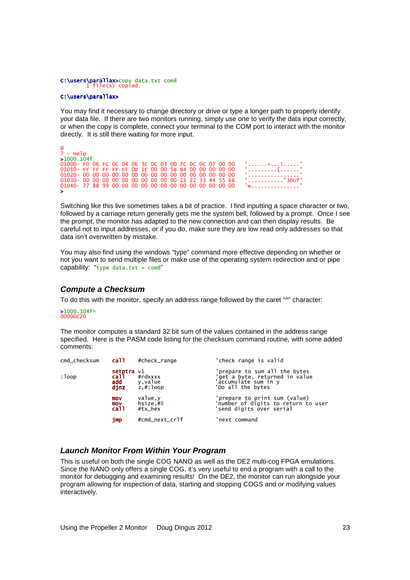# C:\**users\parallax>**copy data.txt com8<br>1 file(s) copied.

#### C:\users\parallax>

You may find it necessary to change directory or drive or type a longer path to properly identify your data file. If there are two monitors running, simply use one to verify the data input correctly, or when the copy is complete, connect your terminal to the COM port to interact with the monitor directly. It is still there waiting for more input.

| $\mathfrak{a}$                                         |                                                                                                                                                                                                                                                                                                  |
|--------------------------------------------------------|--------------------------------------------------------------------------------------------------------------------------------------------------------------------------------------------------------------------------------------------------------------------------------------------------|
| $? - He$ ]p                                            |                                                                                                                                                                                                                                                                                                  |
| >1000.104f                                             |                                                                                                                                                                                                                                                                                                  |
| 01000- F0 06 FC 0C 04 06 3C 0C 03 00 7C 0C 0C 07 00 00 | المنتسب الممتحد والمستحدث                                                                                                                                                                                                                                                                        |
| 01010- FF FF FF FF FF OD 1E 00 00 5B B4 00 00 00 00 00 |                                                                                                                                                                                                                                                                                                  |
|                                                        |                                                                                                                                                                                                                                                                                                  |
| 01030-00 00 00 00 00 00 00 00 00 00 11 22 33 44 55 66  | . '"3DUf'                                                                                                                                                                                                                                                                                        |
|                                                        | $\mathbf{v}$ and $\mathbf{v}$ and $\mathbf{v}$ and $\mathbf{v}$ and $\mathbf{v}$ and $\mathbf{v}$ and $\mathbf{v}$ and $\mathbf{v}$ and $\mathbf{v}$ and $\mathbf{v}$ and $\mathbf{v}$ and $\mathbf{v}$ and $\mathbf{v}$ and $\mathbf{v}$ and $\mathbf{v}$ and $\mathbf{v}$ and $\mathbf{v}$ and |
| $\blacktriangleright$                                  |                                                                                                                                                                                                                                                                                                  |

Switching like this live sometimes takes a bit of practice. I find inputting a space character or two, followed by a carriage return generally gets me the system bell, followed by a prompt. Once I see the prompt, the monitor has adapted to the new connection and can then display results. Be careful not to input addresses, or if you do, make sure they are low read only addresses so that data isn't overwritten by mistake.

You may also find using the windows "type" command more effective depending on whether or not you want to send multiple files or make use of the operating system redirection and or pipe capability: "type data.txt >  $com8"$ 

# **Compute a Checksum**

To do this with the monitor, specify an address range followed by the caret "<sup>A"</sup> character:

## $>1000.104$ f^ 00000C20

The monitor computes a standard 32 bit sum of the values contained in the address range specified. Here is the PASM code listing for the checksum command routine, with some added comments:

| cmd_checksum | call -                               | #check_range                              | 'check range is valid                                                                                        |
|--------------|--------------------------------------|-------------------------------------------|--------------------------------------------------------------------------------------------------------------|
| :loop        | setptra $v1$<br>call.<br>add<br>djnz | $#r$ dxxxx<br>y,value<br>$z$ , $#$ : loop | 'prepare to sum all the bytes<br>'get a byte, returned in value<br>'accumulate sum in y<br>'Do all the bytes |
|              | mov<br>mov<br>ca <sub>11</sub>       | value, y<br>hsize.#8<br>#tx_hex           | 'prepare to print sum (value)<br>'number of digits to return to user<br>'send digits over serial             |
|              | jmp                                  | #cmd_next_crlf                            | 'next command                                                                                                |

## **Launch Monitor From Within Your Program**

This is useful on both the single COG NANO as well as the DE2 multi-cog FPGA emulations. Since the NANO only offers a single COG, it's very useful to end a program with a call to the monitor for debugging and examining results! On the DE2, the monitor can run alongside your program allowing for inspection of data, starting and stopping COGS and or modifying values interactively.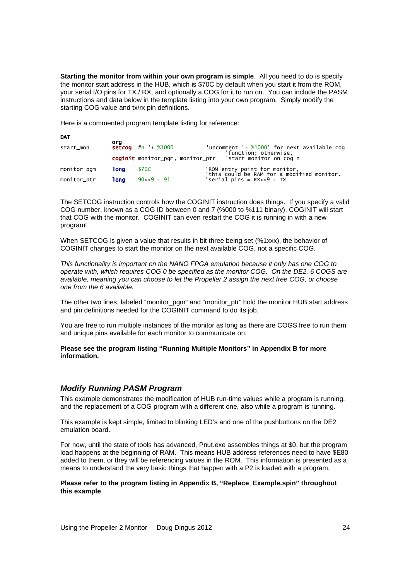**Starting the monitor from within your own program is simple**. All you need to do is specify the monitor start address in the HUB, which is \$70C by default when you start it from the ROM, your serial I/O pins for TX / RX, and optionally a COG for it to run on. You can include the PASM instructions and data below in the template listing into your own program. Simply modify the starting COG value and tx/rx pin definitions.

Here is a commented program template listing for reference:

| <b>DAT</b>  |      |                        |                                                                             |
|-------------|------|------------------------|-----------------------------------------------------------------------------|
| start_mon   | ora  | $setcop$ #n '+ $%1000$ | 'uncomment '+ %1000' for next available cog<br>'function; otherwise,        |
|             |      |                        | coginit monitor_pgm, monitor_ptr 'start monitor on cog n                    |
| monitor_pqm | 1ona | <b>S70C</b>            | 'ROM entry point for monitor,<br>'this could be RAM for a modified monitor. |
| monitor_ptr | 1ona | $90 < 9 + 91$          | 'serial pins = $RX < 9 + TX$                                                |

The SETCOG instruction controls how the COGINIT instruction does things. If you specify a valid COG number, known as a COG ID between 0 and 7 (%000 to %111 binary), COGINIT will start that COG with the monitor. COGINIT can even restart the COG it is running in with a new program!

When SETCOG is given a value that results in bit three being set (%1xxx), the behavior of COGINIT changes to start the monitor on the next available COG, not a specific COG.

This functionality is important on the NANO FPGA emulation because it only has one COG to operate with, which requires COG 0 be specified as the monitor COG. On the DE2, 6 COGS are available, meaning you can choose to let the Propeller 2 assign the next free COG, or choose one from the 6 available.

The other two lines, labeled "monitor\_pgm" and "monitor\_ptr" hold the monitor HUB start address and pin definitions needed for the COGINIT command to do its job.

You are free to run multiple instances of the monitor as long as there are COGS free to run them and unique pins available for each monitor to communicate on.

**Please see the program listing "Running Multiple Monitors" in Appendix B for more information.**

## **Modify Running PASM Program**

This example demonstrates the modification of HUB run-time values while a program is running, and the replacement of a COG program with a different one, also while a program is running.

This example is kept simple, limited to blinking LED's and one of the pushbuttons on the DE2 emulation board.

For now, until the state of tools has advanced, Pnut.exe assembles things at \$0, but the program load happens at the beginning of RAM. This means HUB address references need to have \$E80 added to them, or they will be referencing values in the ROM. This information is presented as a means to understand the very basic things that happen with a P2 is loaded with a program.

**Please refer to the program listing in Appendix B, "Replace\_Example.spin" throughout this example**.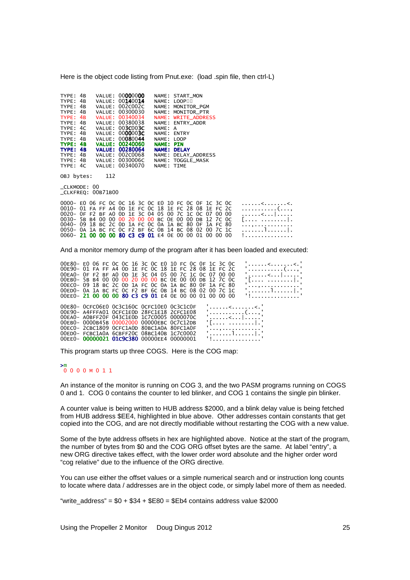Here is the object code listing from Pnut.exe: (load .spin file, then ctrl-L)

| TYPF:    | 4 <sub>R</sub> | VALUE: 00000000        |              | NAME: START MON      |
|----------|----------------|------------------------|--------------|----------------------|
| TYPE: 4B |                | VALUE: 00140014        | NAME:        | LOOP <sub>U</sub>    |
| TYPE: 4B |                | VALUE: 002C002C        | NAME :       | MONITOR PGM          |
| TYPE: 4B |                | VALUE: 00300030        |              | NAME: MONITOR PTR    |
| TYPE: 4B |                | VALUE: 00340034        |              | NAME: WRITE_ADDRESS  |
| TYPE: 4B |                | VALUE: 00380038        |              | NAME: ENTRY ADDR     |
| TYPE: 4C |                | VALUE: 003C003C        | NAME: A      |                      |
| TYPE: 4B |                | VALUE: 0000003C        | NAME:        | <b>ENTRY</b>         |
| TYPE: 4B |                | VALUE: 00080044        | NAME: LOOP   |                      |
| TYPF: 4R |                | <b>VALUE: 00240060</b> | <b>NAMF:</b> | <b>PTN</b>           |
| TYPE: 4B |                | <b>VALUE: 00280064</b> | <b>NAME:</b> | <b>DELAY</b>         |
| TYPE: 4B |                | VALUE: 002C0068        | NAME :       | <b>DELAY ADDRESS</b> |
| TYPE:    | 4 <sub>R</sub> | VALUE: 0030006C        |              | NAME: TOGGLE MASK    |
| TYPE: 4C |                | VALUE: 00340070        | NAME: TIME   |                      |

OBJ bytes: 112

\_CLKMODE: 00 \_CLKFREQ: 00B71B00

| 0000- EO 06 FC 0C 0C 16 3C 0C EO 10 FC 0C 0F 1C 3C 0C |  |  |  |  |  |  |  |  | . < < .    |
|-------------------------------------------------------|--|--|--|--|--|--|--|--|------------|
| 0010- 01 FA FF A4 OD 1E FC OC 18 1E FC 28 08 1E FC 2C |  |  |  |  |  |  |  |  | . (.       |
| 0020- OF F2 BF AO OD 1E 3C 04 05 00 7C 1C 0C 07 00 00 |  |  |  |  |  |  |  |  | . <        |
| 0030- 5B B4 00 00 00 20 00 00 BC 0E 00 00 DB 12 7C 0C |  |  |  |  |  |  |  |  |            |
| 0040- 09 18 BC 2C 0D 1A FC 0C 0A 1A BC 80 0F 1A FC 80 |  |  |  |  |  |  |  |  | . <b>.</b> |
| 0050- 0A 1A BC FC 0C F2 BF 6C 0B 14 BC 08 02 00 7C 1C |  |  |  |  |  |  |  |  | . 1        |
| 0060- 21 00 00 00 80 C3 C9 01 E4 0E 00 00 01 00 00 00 |  |  |  |  |  |  |  |  | .          |

And a monitor memory dump of the program after it has been loaded and executed:

| 00E80- E0 06 FC 0C 0C 16 3C 0C E0 10 FC 0C 0F 1C 3C 0C |  |  |  |  |  |  |  |                         |  | '<<.'         |
|--------------------------------------------------------|--|--|--|--|--|--|--|-------------------------|--|---------------|
| 00E90-01 FA FF A4 OD 1E FC OC 18 1E FC 28 08 1E FC 2C  |  |  |  |  |  |  |  |                         |  | '. ( '        |
| 00EA0- OF F2 BF A0 OD 1E 3C 04 05 00 7C 1C 0C 07 00 00 |  |  |  |  |  |  |  |                         |  | '. <   '      |
| 00EB0- 5B B4 00 00 00 20 00 00 BC 0E 00 00 DB 12 7C 0C |  |  |  |  |  |  |  |                         |  | "[  ."        |
| 00EC0-09 18 BC 2C 0D 1A FC 0C 0A 1A BC 80 0F 1A FC 80  |  |  |  |  |  |  |  |                         |  | .             |
| 00ED0-0A 1A BC FC 0C F2 BF 6C 0B 14 BC 08 02 00 7C 1C  |  |  |  |  |  |  |  |                         |  | '1 .'         |
| 00EE0- 21 00 00 00 80 C3 C9 01 E4 0E 00 00 01 00 00 00 |  |  |  |  |  |  |  |                         |  | <u> '1</u> .' |
| 00E80- 0CFC06E0 0C3C160C 0CFC10E0 0C3C1C0F             |  |  |  |  |  |  |  | '<<.'                   |  |               |
|                                                        |  |  |  |  |  |  |  |                         |  |               |
| 00E90- A4FFFA01 OCFC1E0D 28FC1E18 2CFC1E08             |  |  |  |  |  |  |  | '. ( '                  |  |               |
| 00EA0- A0BFF20F 043C1E0D 1C7C0005 0000070C             |  |  |  |  |  |  |  | '. <.   '               |  |               |
| 00EB0- 0000B45B 00002000 00000EBC 0C7C12DB             |  |  |  |  |  |  |  | "[  ."                  |  |               |
| 00EC0- 2CBC1809 0CFC1A0D 80BC1A0A 80FC1A0F             |  |  |  |  |  |  |  | . <b>.</b> <sup>.</sup> |  |               |
| 00ED0- FCBC1A0A 6CBFF20C 08BC140B 1C7C0002             |  |  |  |  |  |  |  | '1' . '                 |  |               |
| 00EE0-0000002101C9C38000000EE400000001                 |  |  |  |  |  |  |  |                         |  |               |

This program starts up three COGS. Here is the COG map:

# >m 0 0 0 0 M 0 1 1

An instance of the monitor is running on COG 3, and the two PASM programs running on COGS 0 and 1. COG 0 contains the counter to led blinker, and COG 1 contains the single pin blinker.

A counter value is being written to HUB address \$2000, and a blink delay value is being fetched from HUB address \$EE4, highlighted in blue above. Other addresses contain constants that get copied into the COG, and are not directly modifiable without restarting the COG with a new value.

Some of the byte address offsets in hex are highlighted above. Notice at the start of the program, the number of bytes from \$0 and the COG ORG offset bytes are the same. At label "entry", a new ORG directive takes effect, with the lower order word absolute and the higher order word "cog relative" due to the influence of the ORG directive.

You can use either the offset values or a simple numerical search and or instruction long counts to locate where data / addresses are in the object code, or simply label more of them as needed.

"write\_address" =  $$0 + $34 + $E80 = $Eb4$  contains address value \$2000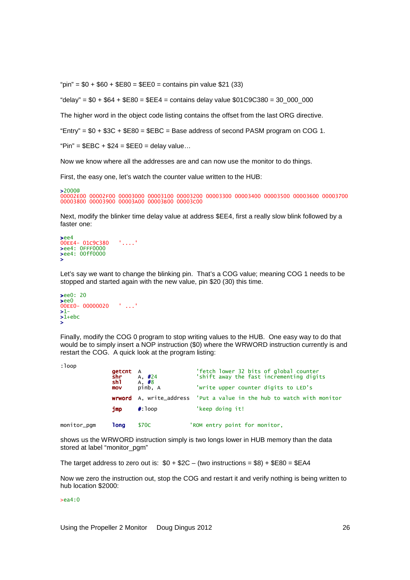"pin" =  $$0 + $60 + $E80 = $EE0 =$ contains pin value \$21 (33)

"delay" = \$0 + \$64 + \$E80 = \$EE4 = contains delay value \$01C9C380 = 30\_000\_000

The higher word in the object code listing contains the offset from the last ORG directive.

"Entry" =  $$0 + $3C + $E80 = $EBC = Base address of second PASM program on COG 1.$ 

 $"Pin" = $EBC + $24 = $EEO = delay value...$ 

Now we know where all the addresses are and can now use the monitor to do things.

First, the easy one, let's watch the counter value written to the HUB:

>2000@ 00002E00 00002F00 00003000 00003100 00003200 00003300 00003400 00003500 00003600 00003700 00003800 00003900 00003A00 00003B00 00003C00

Next, modify the blinker time delay value at address \$EE4, first a really slow blink followed by a faster one:

```
>ee4 
00EE4- 01C9C380 '....' 
>ee4: 0FFF0000 
>ee4: 00ff0000 
>
```
Let's say we want to change the blinking pin. That's a COG value; meaning COG 1 needs to be stopped and started again with the new value, pin \$20 (30) this time.

```
>ee0: 20
>ee0
00EE0- 00000020 ' ...' 
>1-
>1+ebc
>
```
Finally, modify the COG 0 program to stop writing values to the HUB. One easy way to do that would be to simply insert a NOP instruction (\$0) where the WRWORD instruction currently is and restart the COG. A quick look at the program listing:

```
:loop
```

|             | <b>getcnt</b> A<br>shr<br>sh1 | A, $\#24$                     | 'fetch lower 32 bits of global counter<br>'shift away the fast incrementing digits |
|-------------|-------------------------------|-------------------------------|------------------------------------------------------------------------------------|
|             | mov                           | A, <mark>#8</mark><br>pinb, A | 'write upper counter digits to LED's                                               |
|             |                               |                               | <b>wrword</b> A, write_address 'Put a value in the hub to watch with monitor       |
|             | imp                           | $\#$ : 100p                   | 'keep doing it!                                                                    |
| monitor_pgm | 1ong                          | \$70C                         | 'ROM entry point for monitor,                                                      |

shows us the WRWORD instruction simply is two longs lower in HUB memory than the data stored at label "monitor\_pgm"

The target address to zero out is:  $$0 + $2C -$  (two instructions = \$8) +  $$E80 = $EAA$ 

Now we zero the instruction out, stop the COG and restart it and verify nothing is being written to hub location \$2000:

>ea4:0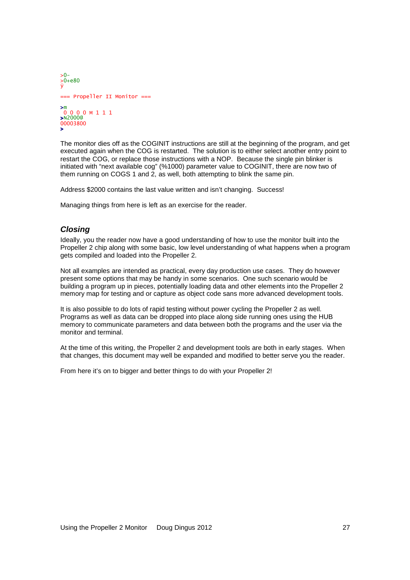```
>0-
>0+e80
ÿ 
=== Propeller II Monitor === 
>m
 0 0 0 0 M 1 1 1 
>N2000@
00003800 
>
```
The monitor dies off as the COGINIT instructions are still at the beginning of the program, and get executed again when the COG is restarted. The solution is to either select another entry point to restart the COG, or replace those instructions with a NOP. Because the single pin blinker is initiated with "next available cog" (%1000) parameter value to COGINIT, there are now two of them running on COGS 1 and 2, as well, both attempting to blink the same pin.

Address \$2000 contains the last value written and isn't changing. Success!

Managing things from here is left as an exercise for the reader.

## **Closing**

Ideally, you the reader now have a good understanding of how to use the monitor built into the Propeller 2 chip along with some basic, low level understanding of what happens when a program gets compiled and loaded into the Propeller 2.

Not all examples are intended as practical, every day production use cases. They do however present some options that may be handy in some scenarios. One such scenario would be building a program up in pieces, potentially loading data and other elements into the Propeller 2 memory map for testing and or capture as object code sans more advanced development tools.

It is also possible to do lots of rapid testing without power cycling the Propeller 2 as well. Programs as well as data can be dropped into place along side running ones using the HUB memory to communicate parameters and data between both the programs and the user via the monitor and terminal.

At the time of this writing, the Propeller 2 and development tools are both in early stages. When that changes, this document may well be expanded and modified to better serve you the reader.

From here it's on to bigger and better things to do with your Propeller 2!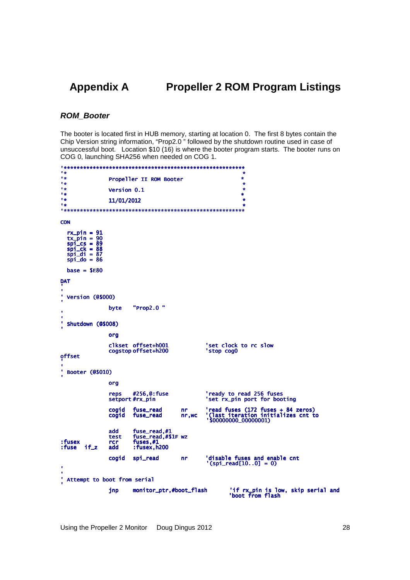#### **Appendix A Propeller 2 ROM Program Listings**

## **ROM\_Booter**

The booter is located first in HUB memory, starting at location 0. The first 8 bytes contain the Chip Version string information, "Prop2.0" followed by the shutdown routine used in case of unsuccessful boot. Location \$10 (16) is where the booter program starts. The booter runs on COG 0, launching SHA256 when needed on COG 1.

| 1 *<br><b>Tige</b>                                                                                                    |                           |                                                                 |                 | ÷                                                                                                      |                                    |  |
|-----------------------------------------------------------------------------------------------------------------------|---------------------------|-----------------------------------------------------------------|-----------------|--------------------------------------------------------------------------------------------------------|------------------------------------|--|
| 1 *                                                                                                                   |                           | Propeller II ROM Booter                                         |                 | ÷<br>$\star$                                                                                           |                                    |  |
| <b>Tige</b>                                                                                                           | <b>Version 0.1</b>        |                                                                 |                 | ÷                                                                                                      |                                    |  |
| 「火<br>り会                                                                                                              | 11/01/2012                |                                                                 |                 | ÷<br>÷                                                                                                 |                                    |  |
| り会                                                                                                                    |                           |                                                                 |                 | ÷                                                                                                      |                                    |  |
|                                                                                                                       |                           |                                                                 |                 |                                                                                                        |                                    |  |
| <b>CON</b>                                                                                                            |                           |                                                                 |                 |                                                                                                        |                                    |  |
| $rx\_pin = 91$<br>$tx\_pin = 90$<br>$spi_{sc} = 89$<br>$spi$ <sub>-C</sub> $k = 88$<br>$spi_d i = 87$<br>$sni_d$ = 86 |                           |                                                                 |                 |                                                                                                        |                                    |  |
| $base =$ \$E80                                                                                                        |                           |                                                                 |                 |                                                                                                        |                                    |  |
| DAT                                                                                                                   |                           |                                                                 |                 |                                                                                                        |                                    |  |
| ' Version (@\$000)                                                                                                    |                           |                                                                 |                 |                                                                                                        |                                    |  |
|                                                                                                                       | byte                      | "Prop2.0"                                                       |                 |                                                                                                        |                                    |  |
| ٠<br>Shutdown (@\$008)                                                                                                |                           |                                                                 |                 |                                                                                                        |                                    |  |
|                                                                                                                       | org                       |                                                                 |                 |                                                                                                        |                                    |  |
|                                                                                                                       |                           | clkset offset+h001<br>cogstop offset+h200                       |                 | 'set clock to rc slow<br>'stop cog0                                                                    |                                    |  |
| offset                                                                                                                |                           |                                                                 |                 |                                                                                                        |                                    |  |
| Booter (@\$010)                                                                                                       |                           |                                                                 |                 |                                                                                                        |                                    |  |
|                                                                                                                       | org                       |                                                                 |                 |                                                                                                        |                                    |  |
|                                                                                                                       | reps                      | #256, @: fuse<br>setport #rx_pin                                |                 | 'ready to read 256 fuses<br>'set rx_pin port for booting                                               |                                    |  |
|                                                                                                                       | cogid<br>cogid            | fuse_read<br>fuse_read                                          | nr<br>$nr$ , wc | read fuses $(172$ fuses $+ 84$ zeros)<br>'(last iteration initializes cnt to<br>'\$00000000_000000001) |                                    |  |
| : fusex<br>$if_z$<br>: fuse                                                                                           | add<br>test<br>rcr<br>add | fuse_read,#1<br>fuse_read,#\$1F wz<br>fuses,#1<br>: fusex, h200 |                 |                                                                                                        |                                    |  |
| ۷                                                                                                                     | cogid                     | spi_read                                                        | nr              | 'disable fuses and enable cnt<br>$'(spi\_read[100] = 0)$                                               |                                    |  |
| ٠<br>Attempt to boot from serial                                                                                      |                           |                                                                 |                 |                                                                                                        |                                    |  |
|                                                                                                                       | inp                       | monitor_ptr,#boot_flash                                         |                 | 'boot from flash                                                                                       | 'if rx_pin is low, skip serial and |  |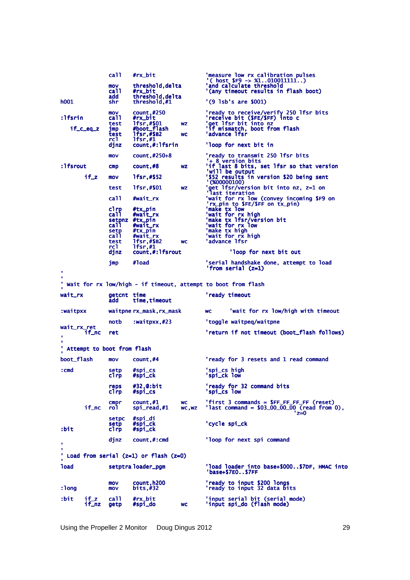call #rx\_bit  $\qquad$  'measure low rx calibration pulses ( host \$F9 -> %1..010011111..)<br>mov threshold,delta 'and calculate threshold<br>call #rx\_bit '(any timeout results in flash boot) call #rx\_bit<br>call #rx\_bit<br>add threshold,delta<br>hoo1 shr threshold,#1 '(9 lsb's are \$001) mov count,#250 'ready to receive/verify 250 lfsr bits<br>Ifsrin call #rx\_bit of 'receive bit (\$FE/\$FF) into c:<br>test lfsr,#\$01 wz 'get lfsr bit into nz<br>if\_c\_eq\_z jmp #boot\_flash 'if mismatch, boot from flash test lfsr,#\$B2 wc 'advance lfsr<br>rcl lfsr,#1 djnz count,#:lfsrin 'loop for next bit in mov count,#250+8 'ready to transmit 250 lfsr bits<br>Ifsrout cmp count,#8 wz '+8 version bits:<br>In the output of last 8 bits, set lfsr so that version!<br>In the output! if\_z mov lfsr,#\$52 <br>
test lfsr,#\$01 <br>
test lfsr,#\$01 wz  $\begin{array}{cc} \text{``}(860000100)}\\ \text{``(800000100)}\\ \text{call} \text{#wait\_rx} \end{array}$  wait for rx low (convey incoming \$F9 on<br>
clrp #tx\_pin <br>
call #wait\_rx 'wait for rx low (convey incoming \$ setpnz #tx\_pin #tx\_pin 'make tx lfsr/version bit lfsr/version bit bit call #wait\_rx 'wait for rx low 'wait for rx lowlow setp #tx\_pin #tx\_pin#tx\_pin 'make tx high 'make tx highhigh call #wait\_rx #wait\_rx #wait\_rx 'wait for rx high high test lfsr,#\$B2 lfsr,#\$B2 wc 'advance lfsr lfsr call  $m$ <br>
setpnz #tx\_pin<br>
call  $m$ itx\_pin<br>
call  $m$ itx\_pin<br>
call  $m$ itx\_pin<br>
call  $m$ it\_rx<br>
rcl lfsr,#\$2<br>
rcl lfsr,#1<br>
djnz count,#:lfsrout 'loop for next bit out jmp #load 'serial handshake done, attempt to load<br>'from serial (z=1) ' '<br>' Wait for rx low/high - if timeout, attempt to boot from flash wait\_rx yetcnt time extending the contract of the contract of the same of the set of the set of the set of the set of <br>and time, timeout the set of the set of the set of the set of the set of the set of the set of the set of the time, timeout :waitpxx waitpne rx\_mask,rx\_mask wc vait for rx low/high with timeout notb :waitpxx,#23 'toggle waitpeq/waitpne wait\_rx\_ret<br>if\_nc ret 'return if not timeout (boot\_flash follows) 'return if not timeout (boot\_flash follows) ' '<br>' Attempt to boot from flash ' boot\_flash mov count,#4 count,#4 count,#2 count,#4 count,#2 count,#4 count,#2 count,#2 count,#2 count,#2 count,#2 contra cmd setp #spi\_cs 'spi\_cs high:<br>clrp #spi\_ck 'spi\_ck low reps #32,@:bit 'ready for 32 command bits<br>clrp #spi\_cs 'spi\_cs low cmpr count,#1 wc 'first 3 commands = \$FF\_FF\_FF\_FF (reset)<br>if\_nc rol spi\_read,#1 wc,wz 'last command = \$03\_00\_00\_00 (read from 0),<br>2=0 setpc #spi\_di #spi\_di setp #spi\_ck #spi\_ck#spi\_ck 'cycle spi\_ck 'cycle spi\_ckspi\_ck :bit clrp #spi\_ck djnz count,#:cmd count, count, count, command count, command count, command ' '<br>' Load from serial (z=1) or flash (z=0) **load** load setptra setptraloader\_pgm loader\_pgm loader\_pgm 'load loader into base+\$000.. base+\$000..\$7DF, HMAC into \$7DF, HMAC into 'base+ 'base+\$7E0..\$7FF base+\$7E0..\$7FF \$7E0..\$7FF mov count,h200 count,h200count,h200 'ready to input \$200 longs 'ready to input \$200 longslongs :long mov bits,#32 bits,#32 bits,#32 'ready to input 32 data bits bits bits :bit bit if\_z call #rx\_bit 'input-serial-bit (serial-mode):<br>if\_nz getp #spi\_do 'input-spi\_do (flash-mode)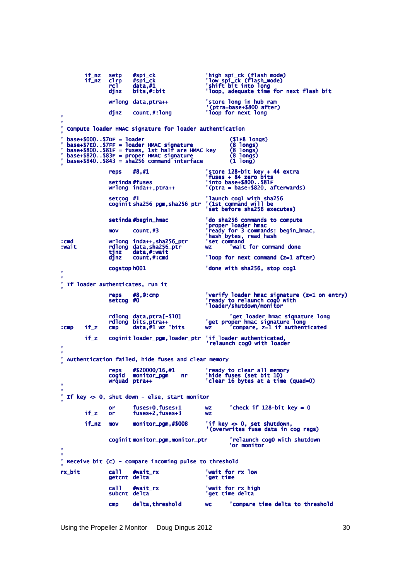if\_nz setp #spi\_ck 'high spi\_ck (flash mode)<br>if\_nz clrp #spi\_ck 'low spi\_ck (flash\_mode)<br>rcl data,#1 'shift bit into long<br>djnz bits,#:bit 'loop, adequate time for next flash bit wrlong data,ptra++ 'store long in hub ram<br>djnz count,#:long '(ptra=base+\$800 after)<br>djnz count,#:long 'loop for next long ' ' ' Compute loader HMAC signature for loader authentication Journal (\$1F8 longs)<br>- base+\$7EO..\$7DF = loader HMAC signature (\$100gs)<br>- base+\$80O..\$81F = fuses, 1st half are HMAC key (\$10ngs)<br>- base+\$82O..\$83F = proper HMAC signature (\$10ngs)<br>- base+\$84O..\$843 = sha256 command interf ' reps #8,#1 'store 128-bit key + 44 extra<br>'fuses 'fuses 'ruses + 84 zero bits<br>wrlong inda++,ptra++ ''(ptra = base+\$820, .afterwards) setcog #1 'launch cog1 with sha256<br>coginitsha256\_pgm,sha256\_ptr '(1st command will be 'launch cog1 with sha256<br>'(1st command will be<br>'set before sha256 executes) setinda#begin\_hmac 'do sha256 commands to compute<br>"proper loader hmac 'proper loader hmac,<br>"hash\_bytes, read\_hash<br>"hash\_bytes, read\_hash" :cmd wrlong inda++,sha256\_ptr 'set command :wait rdlong data,sha256\_ptr wz 'wait for command done tjnz data,#:wait data,#:wait data,#:wait tjnz data,#:wait<br>djnz count,#:cmd 'loop for next command (z=1 after) cogstop h001 <sup>'</sup>done with sha256, stop cog1 ' '<br>' If loader authenticates, run it ' reps #8,@:cmp 'verify loader hmac signature (z=1 on entry)<br>setcog #0 'ready to relaunch cogO with<br>'loader/shutdown/monitor' rdlong data,ptra[ data,ptra[-\$10] 'get loader hmac signature long 'get loader hmac long rdlong bits,ptra++ bits,ptra++ bits,ptra++ 'get proper hmac signature long 'get proper hmac long :cmp if\_z cmp data,#1 wz data,#1 wzdata,#1 wz'bits wz 'compare, z=1 if authenticated 'compare, z=1 if authenticatedauthenticated if\_z coginit loader\_pgm, loader\_ptr 'if loader authenticated, 'relaunch cog0 with loader ' ' Authentication failed, hide fuses and clear memory ' reps #\$20000/16,#1 'ready to clear all memory<br>cogid monitor\_pgm nr 'hide fuses (set bit 10)<br>wrquad ptra++ 'clear 16 bytes at a time (quad=0) ' ' If key  $\infty$  0, shut down - else, start monitor ' or fuses+0,fuses+1 wz 'check if 128-bit key = 0<br>if z or fuses+2.fuses+3 wz fuses+0,fuses+1<br>fuses+2,fuses+3 if\_nz mov monitor\_pgm,#\$008 'if key <> 0, set shutdown,<br>(overwrites fuse data in cog regs)' coginit monitor\_pgm,monitor\_ptr <sup>relaunch</sup> cog0 with shutdown 'or monitor ', ' Receive bit (c) - compare incoming pulse to threshold rx bit rx\_bit call #wait\_rx #wait\_rx #wait\_rx 'wait for rx low low getcnt delta call #wait\_rx 'wait for rx high<br>subcnt delta 'get time delta cmp delta,threshold wc 'compare time delta to threshold

Using the Propeller 2 Monitor Doug Dingus 2012 30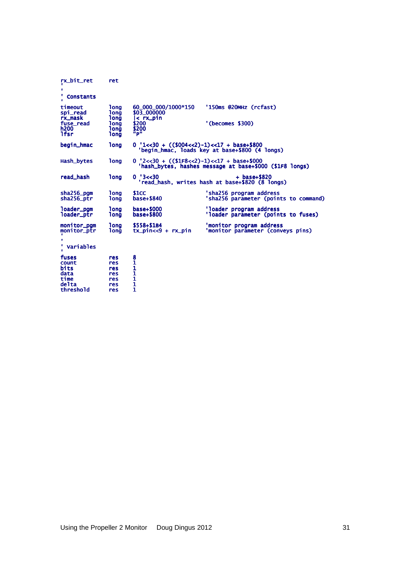| rx_bit_ret<br>٠<br><b>Constants</b>          | ret                                       |                                             |                                                                  |
|----------------------------------------------|-------------------------------------------|---------------------------------------------|------------------------------------------------------------------|
| timeout<br>spi_read<br>rx_mask               | <b>long</b><br><b>long</b><br><b>long</b> | 60_000_000/1000*150<br>\$03 000000          | '150ms @20MHz (rcfast)                                           |
| fuse_read<br>h200<br>1fsr                    | <b>long</b><br><b>long</b><br><b>long</b> | < rx_pin<br>\$200<br>\$200<br>ñp"           | '(becomes \$300)                                                 |
| begin_hmac                                   | <b>long</b>                               | $0$ '1<<30 + $((\$004<2)-1)<1$ + base+\$800 | 'begin_hmac, loads key at base+\$800 (4 longs)                   |
| Hash_bytes                                   | <b>long</b>                               | $0$ '2<<30 + $((1F8 < 2)-1) < 17 + 0.000$   | 'hash_bytes, hashes message at base+\$000 (\$1F8 longs)          |
| read_hash                                    | <b>long</b>                               | 0'3 < 30                                    | $+base+$820$<br>'read_hash, writes hash at base+\$820 (8 longs)  |
| sha256_pgm<br>sha256_ptr                     | 1ona<br><b>Tong</b>                       | \$1CC<br>base+\$840                         | 'sha256 program address<br>'sha256 parameter (points to command) |
| loader_pqm<br>loader_ptr                     | <b>long</b><br><b>long</b>                | base+\$000<br>base+\$800                    | 'loader program address<br>'loader parameter (points to fuses)   |
| monitor_pqm<br>monitor_ptr<br>٠<br>Variables | <b>long</b><br>1ona                       | \$558+\$1B4<br>$tx\_pin < 9 + rx\_pin$      | 'monitor program address<br>'monitor parameter (conveys pins)    |
| fuses<br>count                               | res<br>res                                | $\frac{8}{1}$                               |                                                                  |
| bits<br>data                                 | res<br>res                                | 1<br>1                                      |                                                                  |
| time<br>delta                                | res<br>res                                | 1<br>$\mathbf{1}$                           |                                                                  |
| threshold                                    | res                                       | 1                                           |                                                                  |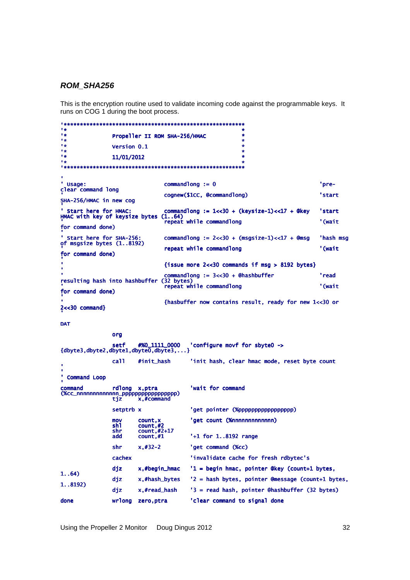### **ROM\_SHA256**

This is the encryption routine used to validate incoming code against the programmable keys. It runs on COG 1 during the boot process.

 $\mathbf{r}$  $\mathbf{r}$ ä Propeller II ROM SHA-256/HMAC  $1<sub>2</sub>$ ÷  $\mathbf{r}$ Version 0.1  $\bullet$ r g  $\mathbf{r}$ 11/01/2012 r g ä, ' Usage:  $commandlong := 0$ 'preclear command long cognew(\$1CC, @commandlong) 'start SHA-256/HMAC in new cog Start here for HMAC: comman '<br>HMAC with key of keysize bytes (1..64) commandlong :=  $1 < 30 + (keysize-1) < 17 + @key$ 'start repeat while commandlong '(wait for command done) ' Start here for SHA-256:<br>of msgsize bytes (1..8192) commandlong :=  $2 < 30 + (msgsize-1) < 17 + 0$ msg 'hash msg repeat while commandlong '(wait for command done) {issue more  $2 < 30$  commands if msg > 8192 bytes}  $commandlong := 3 < 30 + @hashbuffer$ "read" resulting hash into hashbuffer (32 bytes)<br>repeat while commandlong '(wait for command done) {hasbuffer now contains result, ready for new 1<<30 or  $2 < 30$  command}

**DAT** 

org

```
setf
                         #%0_1111_0000
                                          'configure movf for sbyte0 ->
\{dbyte3, dbyte2, dbyte1, dbyte0, dbyte3, ... \}#init_hash
                                          'init hash, clear hmac mode, reset byte count
                 ca<sub>11</sub>
 Command Loop
command
                 rdlong x, ptra
                                          'wait for command
'get pointer (%pppppppppppppppppp)
                 setptrb x
                                          'get count (%nnnnnnnnnnnnn)
                         count, xmovcount, x<br>count, #2<br>count, #2+17<br>count, #1
                 sh1
                 shr
                 add
                                           '+1 for 1..8192 range
                 shr
                         x, #32-2'get command (%cc)
                 cachex
                                          'invalidate cache for fresh rdbytec's
                 djz
                         x,#begin_hmac
                                          '1 = begin hmac, pointer @key (count+1 bytes,
1. .64)diz
                         x,#hash_bytes
                                          '2 = hash bytes, pointer @message (count+1 bytes,
1. .8192)\overline{d}x,#read_hash
                                          '3 = read hash, pointer @hashbuffer (32 bytes)
done
                 wrlong zero, ptra
                                          'clear command to signal done
```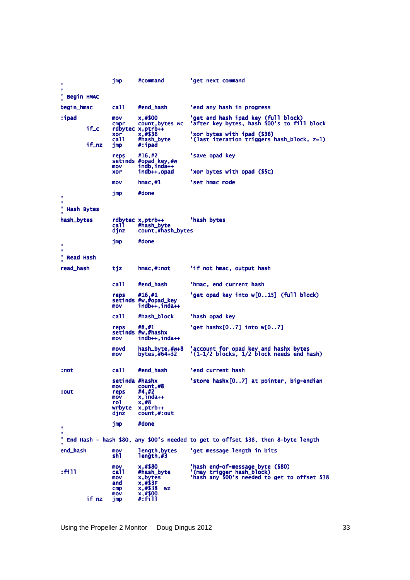| ×                      |       | jmp                                                           | #command                                                                           | 'qet next command                                                                                              |
|------------------------|-------|---------------------------------------------------------------|------------------------------------------------------------------------------------|----------------------------------------------------------------------------------------------------------------|
| ٠                      |       |                                                               |                                                                                    |                                                                                                                |
| ٠<br><b>Begin HMAC</b> |       |                                                               |                                                                                    |                                                                                                                |
| begin_hmac             |       | ca11                                                          | #end_hash                                                                          | 'end any hash in progress                                                                                      |
| :ipad                  | if_c  | mov<br>cmpr                                                   | x,#\$00<br>count, bytes wc<br>rdbytec x, ptrb++                                    | 'get and hash ipad key (full block)<br>'after key bytes, hash \$00's to fill block                             |
|                        | if_nz | xor<br>ca11<br>jmp                                            | x, #\$36<br>#hash_byte<br>#:ipad                                                   | 'xor bytes with ipad (\$36)<br>'(last iteration triggers hash_block, z=1)                                      |
|                        |       | reps<br>mov                                                   | #16,#2<br>setinds #opad_key,#w<br>$indb, inda++$                                   | 'save opad key<br>'xor bytes with opad (\$5C)                                                                  |
|                        |       | xor<br>mov                                                    | indb++,opad<br>$h$ mac,#1                                                          | 'set hmac mode                                                                                                 |
|                        |       | jmp                                                           | #done                                                                              |                                                                                                                |
| ٠<br>×<br>Hash Bytes   |       |                                                               |                                                                                    |                                                                                                                |
|                        |       |                                                               |                                                                                    |                                                                                                                |
| hash_bytes             |       | ca11<br>djnz                                                  | rdbytec x,ptrb++<br>#hash_byte<br>count,#hash_bytes                                | 'hash bytes                                                                                                    |
| ٠                      |       | jmp                                                           | #done                                                                              |                                                                                                                |
| ٠                      |       |                                                               |                                                                                    |                                                                                                                |
| Read Hash              |       |                                                               |                                                                                    |                                                                                                                |
| read_hash              |       | tjz                                                           | hmac,#:not                                                                         | 'if not hmac, output hash                                                                                      |
|                        |       | ca11                                                          | #end_hash                                                                          | 'hmac, end current hash                                                                                        |
|                        |       | reps<br>mov                                                   | #16,#1<br>setinds #w,#opad_key<br>$indb++, inda++$                                 | 'get opad key into w[015] (full block)                                                                         |
|                        |       | call.                                                         | #hash_block                                                                        | 'hash opad key                                                                                                 |
|                        |       | reps<br>mov                                                   | #8,#1<br>setinds #w,#hashx<br>$indb++$ , $inda++$                                  | 'get hashx $[07]$ into w $[07]$                                                                                |
|                        |       | movd<br>mov                                                   | hash_byte,#w+8<br>bytes,#64+32                                                     | 'account for opad key and hashx bytes<br>'(1-1/2 blocks, 1/2 block needs end_hash)                             |
| :not                   |       | ca11                                                          | #end_hash                                                                          | 'end current hash                                                                                              |
| :out                   |       | setinda #hashx<br>mov<br>reps<br>mov<br>rol<br>wrbyte<br>djnz | count,#8<br>#4,#2<br>x.inda++<br>x, #8<br>x, ptrb++<br>count,#:out                 | 'store hashx[07] at pointer, big-endian                                                                        |
| ٠                      |       | jmp                                                           | #done                                                                              |                                                                                                                |
| ٠<br>۰                 |       |                                                               |                                                                                    | End Hash - hash \$80, any \$00's needed to get to offset \$38, then 8-byte length                              |
| end_hash               |       | mov<br>sh1.                                                   | length, bytes<br>length,#3                                                         | 'get message length in bits                                                                                    |
| :fi11                  | if_nz | mov<br>ca11<br>mov<br>and<br>$\mathsf{cmp}$<br>mov<br>jmp     | x, #\$80<br>#hash_byte<br>x,bytes<br>x, #S3F<br>x,#\$38<br>WZ<br>x,#\$00<br>#:fill | 'hash end-of-message byte (\$80)<br>'(may trigger hash_block)<br>'hash any \$00's needed to get to offset \$38 |
|                        |       |                                                               |                                                                                    |                                                                                                                |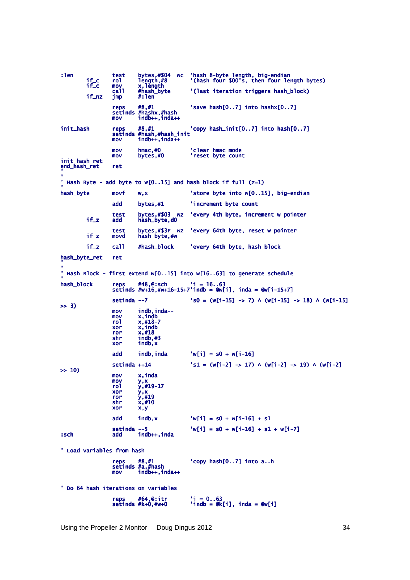:len test bytes,#\$04 wc 'hash 8-byte length, big-endian<br>if\_c rol length,#8 '(hash four \$00's, then four le<br>if\_c mov x,length rol length,#8 '(hash four \$00's, then four length bytes)<br>mov x, length<br>call #hash\_byte '(last iteration triggers hash\_block) x, length<br>#hash\_byte call #hash\_byte '(last iteration triggers hash\_block) imp #:len  $if_nz$ 'save hash $[0..7]$  into hashx $[0..7]$ setinds #hashx,#hash<br>Mov indb++,inda++ init\_hash 'copy hash\_init[0..7] into hash[0..7] setinds #hash,#hash\_init setinds #hash,#hash\_init  $mov$   $indb++,inda++$ mov hmac,#0 'clear hmac mode<br>mov bytes,#0 'reset byte count init\_hash\_ret end\_hash\_ret ret ', ' <br>' Hash Byte - add byte to w[O..15] and hash block if full (z=1) hash\_byte  $movf$  w,x <sup>'</sup>store byte into w[0..15], big-endian  $add$  bytes,  $\#1$  'increment byte count test bytes,#\$03 wz 'every 4th byte, increment w pointer<br>if\_z add hash\_byte,d0 hash\_byte,d0 test bytes,#\$3F wz 'every 64th byte, reset w pointer<br>if\_z movd hash\_byte.#w bytes,#\$3F wz<br>hash\_byte,#w if\_z call #hash\_block 'every 64th byte, hash block hash\_byte\_ret ret ', ' Hash Block - first extend w[0..15] into w[16..63] to generate schedule hash\_block reps #48,@:sch 'i =  $16..63$ setinds  $\#w+16, \#w+16-15+7'$  indb =  $@w[i]$ , inda =  $@w[i-15+7]$ setinda --7 's0 = (w[i-15] -> 7) ^ (w[i-15] -> 18) ^ (w[i-15] >> 3) mov indb,inda--<br>mov x,indb mov x,indb<br>
rol x,#18-7<br>
xor x,<mark>#18</mark><br>
ror x,#18<br>
shr indb,#3 xor indb,x indb,x add  $\text{indb}.\text{inda}$  'w[i] = s0 + w[i-16] setinda ++14  $'s1 = (w[i-2] \rightarrow 17) \land (w[i-2] \rightarrow 19) \land (w[i-2]$ >> 10)  $\begin{array}{cc}\n\text{mov} & x, \text{inda} \\
\text{mov} & y, x\n\end{array}$ mov<br>ro1 rol y,#19-17<br>xor y,x<br>ror y,#19<br>shr x,#10  $x \circ r$   $x, y$ add indb, x  $'w[i] = s0 + w[i-16] + s1$  $\text{set} \text{ind} \text{---} 5$  'w[i] = s0 + w[i-16] + s1 + w[i-7] :sch add indb++.inda :sch add indb++,inda indb++,inda ' Load variables from hash 'copy  $hash[0..7]$  into  $a..h$ setinds #a,#hash<br>mov indb++,inda++ ' Do 64 hash iterations on variables reps #64,@:itr<br>setinds #k+0,#w+0  $'$ i = 0..63<br>'indb = @k[i], inda = @w[i]

Using the Propeller 2 Monitor Doug Dingus 2012 34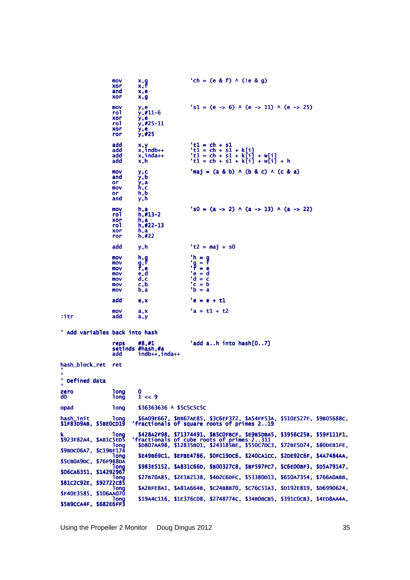|                                            | mov<br>xor<br>and<br>xor                      | x,g<br>x,f<br>x,e<br>x,g                                | $'ch = (e & f) \wedge (le & q)$                                                                                                                                                                 |
|--------------------------------------------|-----------------------------------------------|---------------------------------------------------------|-------------------------------------------------------------------------------------------------------------------------------------------------------------------------------------------------|
|                                            | mov<br>rol<br>xor<br>ro1<br>xor<br>ror        | y,e<br>$y, #11-6$<br>y,e<br>$y, #25-11$<br>y,e<br>y,#25 | $'s1 = (e \rightarrow 6)$ $\land$ $(e \rightarrow 11)$ $\land$ $(e \rightarrow 25)$                                                                                                             |
|                                            | add<br>add<br>add<br>add                      | x,y<br>x,indb++<br>x,inda++<br>x, h                     | $'t1 = ch + s1$<br>'t1 = ch + s1 + k[i]<br>'t1 = ch + s1 + k[i] + w[i]<br>'t1 = ch + s1 + k[i] + w[i] + h                                                                                       |
|                                            | mov<br>and<br>or<br>mov<br>or<br>and          | y,c<br>y, b<br>y,a<br>h,c<br>h, b<br>y, h               | $\text{Imaj} = (a \& b) \land (b \& c) \land (c \& a)$                                                                                                                                          |
|                                            | mov<br>rol<br>xor<br>ro1<br>xor<br>ror        | h,a<br>$h, #13-2$<br>h,a<br>$h, #22-13$<br>h,a<br>h,#22 | $\text{S0} = (a \rightarrow 2) \land (a \rightarrow 13) \land (a \rightarrow 22)$                                                                                                               |
|                                            | add                                           | y, h                                                    | $'t2 = maj + s0$                                                                                                                                                                                |
|                                            | mov<br>mov<br>mov<br>mov<br>mov<br>mov<br>mov | h,g<br>g,f<br>f,e<br>e,d<br>d, c<br>c, b<br>b,a         | $\frac{h}{g} = \frac{g}{f}$<br>$\frac{1}{2}$<br>$= e$<br>'e<br>$= d$<br>$\overline{d} = \overline{c}$<br>'c = b<br>'b = a                                                                       |
|                                            | add                                           | e, x                                                    | $'e = e + t1$                                                                                                                                                                                   |
| :itr                                       | mov<br>add                                    | a, x<br>a, y                                            | $a = t1 + t2$                                                                                                                                                                                   |
| ' Add variables back into hash             |                                               |                                                         |                                                                                                                                                                                                 |
|                                            | reps<br>add                                   | #8,#1<br>setinds #hash,#a<br>$indb++, inda++$           | 'add $a \dots h$ into $hash[0 \dots 7]$                                                                                                                                                         |
| hash_block_ret                             | ret                                           |                                                         |                                                                                                                                                                                                 |
| ' Defined data                             |                                               |                                                         |                                                                                                                                                                                                 |
| zero<br>d0                                 | <b>Tona</b><br><b>long</b>                    | 0<br>$1 \ll 9$                                          |                                                                                                                                                                                                 |
| opad                                       | <b>long</b>                                   | \$36363636 ^ \$5C5C5C5C                                 |                                                                                                                                                                                                 |
| hash_init<br><b>\$1F83D9AB, \$5BEOCD19</b> | <b>Tona</b>                                   |                                                         | \$6A09E667, \$BB67AE85, \$3C6EF372, \$A54FF53A, \$510E527F, \$9B05688C,<br>'fractionals of square roots of primes 219                                                                           |
| \$923F82A4, \$AB1C5ED5                     | Tona<br>1ong                                  |                                                         | \$428A2F98, \$71374491, \$B5COFBCF, \$E9B5DBA5, \$3956C25B, \$59F111F1,<br>'fractionals of cube roots of primes 2311<br>\$D807AA98, \$12835B01, \$243185BE, \$550C7DC3, \$72BE5D74, \$80DEB1FE, |
| \$9BDC06A7, \$C19BF174                     | Tong                                          |                                                         | \$E49B69C1, \$EFBE4786, \$0FC19DC6, \$240CA1CC, \$2DE92C6F, \$4A7484AA,                                                                                                                         |
| \$5CB0A9DC, \$76F988DA                     | Tona                                          |                                                         | \$983E5152, \$A831C66D, \$B00327C8, \$BF597FC7, \$C6E00BF3, \$D5A79147,                                                                                                                         |
| \$06CA6351, \$14292967                     | 1ona                                          |                                                         | \$27B70A85, \$2E1B2138, \$4D2C6DFC, \$53380D13, \$650A7354, \$766A0ABB,                                                                                                                         |
| \$81C2C92E, \$92722C85                     | <b>long</b>                                   |                                                         | \$A2BFE8A1, \$A81A664B, \$C24B8B70, \$C76C51A3, \$D192E819, \$D6990624,                                                                                                                         |
| <b>\$F40E3585, \$106AA070</b>              | <b>long</b>                                   |                                                         | \$19A4C116, \$1E376C08, \$2748774C, \$34B0BCB5, \$391C0CB3, \$4ED8AA4A,                                                                                                                         |
| \$5B9CCA4F, \$682E6FF3                     |                                               |                                                         |                                                                                                                                                                                                 |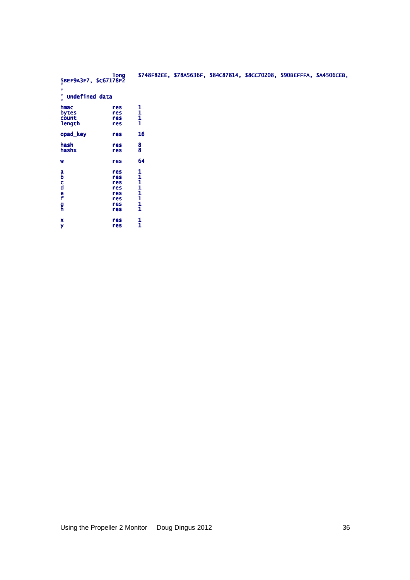| \$BEF9A3F7, \$C67178F2<br>' Undefined data<br>$\bullet$<br>hmac<br>$\frac{1}{1}$<br>res<br>bytes<br>res<br>count<br>res<br>length<br>res<br>16<br>opad_key<br>res<br>hash<br>$\frac{8}{8}$<br>res<br>hashx<br>res<br>64<br>res<br>W<br>11111111<br>res<br>$\frac{a}{b}$<br>res<br>c<br>d<br>f<br>res<br>res<br>res<br>res<br>$\frac{g}{h}$<br>res<br>res<br>1<br>$\mathbf{x}$<br>res<br>$\mathbf{1}$<br>У<br>res | <b>long</b> |  | \$748F82EE, \$78A5636F, \$84C87814, \$8CC70208, \$90BEFFFA, \$A4506CEB, |  |  |
|------------------------------------------------------------------------------------------------------------------------------------------------------------------------------------------------------------------------------------------------------------------------------------------------------------------------------------------------------------------------------------------------------------------|-------------|--|-------------------------------------------------------------------------|--|--|
|                                                                                                                                                                                                                                                                                                                                                                                                                  |             |  |                                                                         |  |  |
|                                                                                                                                                                                                                                                                                                                                                                                                                  |             |  |                                                                         |  |  |
|                                                                                                                                                                                                                                                                                                                                                                                                                  |             |  |                                                                         |  |  |
|                                                                                                                                                                                                                                                                                                                                                                                                                  |             |  |                                                                         |  |  |
|                                                                                                                                                                                                                                                                                                                                                                                                                  |             |  |                                                                         |  |  |
|                                                                                                                                                                                                                                                                                                                                                                                                                  |             |  |                                                                         |  |  |
|                                                                                                                                                                                                                                                                                                                                                                                                                  |             |  |                                                                         |  |  |
|                                                                                                                                                                                                                                                                                                                                                                                                                  |             |  |                                                                         |  |  |
|                                                                                                                                                                                                                                                                                                                                                                                                                  |             |  |                                                                         |  |  |
|                                                                                                                                                                                                                                                                                                                                                                                                                  |             |  |                                                                         |  |  |
|                                                                                                                                                                                                                                                                                                                                                                                                                  |             |  |                                                                         |  |  |
|                                                                                                                                                                                                                                                                                                                                                                                                                  |             |  |                                                                         |  |  |
|                                                                                                                                                                                                                                                                                                                                                                                                                  |             |  |                                                                         |  |  |
|                                                                                                                                                                                                                                                                                                                                                                                                                  |             |  |                                                                         |  |  |
|                                                                                                                                                                                                                                                                                                                                                                                                                  |             |  |                                                                         |  |  |
|                                                                                                                                                                                                                                                                                                                                                                                                                  |             |  |                                                                         |  |  |
|                                                                                                                                                                                                                                                                                                                                                                                                                  |             |  |                                                                         |  |  |
|                                                                                                                                                                                                                                                                                                                                                                                                                  |             |  |                                                                         |  |  |
|                                                                                                                                                                                                                                                                                                                                                                                                                  |             |  |                                                                         |  |  |
|                                                                                                                                                                                                                                                                                                                                                                                                                  |             |  |                                                                         |  |  |
|                                                                                                                                                                                                                                                                                                                                                                                                                  |             |  |                                                                         |  |  |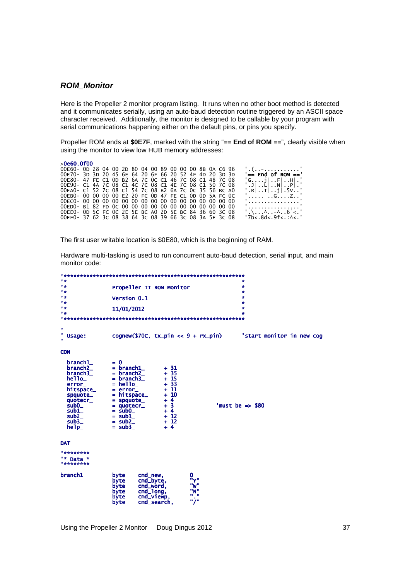## **ROM\_Monitor**

Here is the Propeller 2 monitor program listing. It runs when no other boot method is detected and it communicates serially, using an auto-baud detection routine triggered by an ASCII space character received. Additionally, the monitor is designed to be callable by your program with serial communications happening either on the default pins, or pins you specify.

Propeller ROM ends at **\$0E7F**, marked with the string "**== End of ROM ==**", clearly visible when using the monitor to view low HUB memory addresses:

| >0e60.0f00                                             |  |  |  |  |  |  |  |  |                          |
|--------------------------------------------------------|--|--|--|--|--|--|--|--|--------------------------|
| 00E60-0D 28 04 00 2D 80 04 00 89 00 00 00 8B 0A C6 96  |  |  |  |  |  |  |  |  | '. ( - '                 |
| 00E70- 3D 3D 20 45 6E 64 20 6F 66 20 52 4F 4D 20 3D 3D |  |  |  |  |  |  |  |  | '== End of ROM =='       |
| 00E80- 47 FE C1 0D B2 6A 7C 0C C1 46 7C 08 C1 48 7C 08 |  |  |  |  |  |  |  |  | 'Gi F H .'               |
| 00E90- C1 4A 7C 08 C1 4C 7C 08 C1 4E 7C 08 C1 50 7C 08 |  |  |  |  |  |  |  |  | '.J L N P .'             |
| 00EA0- C1 52 7C 08 C1 54 7C 08 B2 6A 7C 0C 35 56 BC A0 |  |  |  |  |  |  |  |  | '.R T i .5V'             |
| 00EB0- 00 00 00 00 E2 20 FC 0D 47 FE C1 0D 0D 5A FC 0C |  |  |  |  |  |  |  |  | ' GZ'                    |
|                                                        |  |  |  |  |  |  |  |  |                          |
| 00ED0- B1 82 FD 0C 00 00 00 00 00 00 00 00 00 00 00 00 |  |  |  |  |  |  |  |  | .                        |
| 00EE0- OD 5C FC OC 2E 5E BC AO 2D 5E BC 84 36 60 3C 08 |  |  |  |  |  |  |  |  |                          |
| 00EF0- 37 62 3C 08 38 64 3C 08 39 66 3C 08 3A 5E 3C 08 |  |  |  |  |  |  |  |  | $'7b<.8d<.9f<.$ . ^< . ' |

The first user writable location is \$0E80, which is the beginning of RAM.

Hardware multi-tasking is used to run concurrent auto-baud detection, serial input, and main monitor code:

| 「安                                                                                                                                                |                                                                                                                                                                                 |                                                                                                       |                                            | ÷                                                               |
|---------------------------------------------------------------------------------------------------------------------------------------------------|---------------------------------------------------------------------------------------------------------------------------------------------------------------------------------|-------------------------------------------------------------------------------------------------------|--------------------------------------------|-----------------------------------------------------------------|
| 1 4                                                                                                                                               | Propeller II ROM Monitor                                                                                                                                                        |                                                                                                       |                                            | ÷                                                               |
| 「安                                                                                                                                                |                                                                                                                                                                                 |                                                                                                       |                                            | $\bullet$                                                       |
| <b>1 de</b>                                                                                                                                       | Version 0.1                                                                                                                                                                     |                                                                                                       |                                            | ÷                                                               |
| <b>1 de</b><br>1 de                                                                                                                               |                                                                                                                                                                                 |                                                                                                       |                                            | ÷<br>÷                                                          |
| 1 de                                                                                                                                              | 11/01/2012                                                                                                                                                                      |                                                                                                       |                                            | ÷                                                               |
|                                                                                                                                                   |                                                                                                                                                                                 |                                                                                                       |                                            |                                                                 |
|                                                                                                                                                   |                                                                                                                                                                                 |                                                                                                       |                                            |                                                                 |
| ٠                                                                                                                                                 |                                                                                                                                                                                 |                                                                                                       |                                            |                                                                 |
| ' Usage:                                                                                                                                          |                                                                                                                                                                                 |                                                                                                       |                                            | $cognew($70C, tx\_pin << 9 + rx\_pin)$ start monitor in new cog |
|                                                                                                                                                   |                                                                                                                                                                                 |                                                                                                       |                                            |                                                                 |
| <b>CON</b>                                                                                                                                        |                                                                                                                                                                                 |                                                                                                       |                                            |                                                                 |
| branch1_<br>branch2_<br>$branch3$ = $branch2$<br>$he11o_$<br>error_<br>hitspace_<br>spquote_<br>quotecr_<br>sub0<br>sub1_<br>sub2<br>sub3<br>he1p | $= 0$<br>$=$ branch $1$<br>$= branch3$<br>$=$ hello $\_$<br>$= error_$<br>$=$ hitspace_<br>$=$ spquote_<br>$=$ quotecr_<br>$=$ sub0 $-$<br>$=$ sub1<br>$=$ sub2 $-$<br>$=$ sub3 | $+31$<br>$+35$<br>$+15$<br>$+ 33$<br>$+11$<br>$+10$<br>$+4$<br>$+3$<br>$+4$<br>$+12$<br>$+12$<br>$+4$ |                                            | 'must be $\Rightarrow$ \$80                                     |
| <b>DAT</b>                                                                                                                                        |                                                                                                                                                                                 |                                                                                                       |                                            |                                                                 |
| ********<br>'* Data *<br>*********                                                                                                                |                                                                                                                                                                                 |                                                                                                       |                                            |                                                                 |
| branch1                                                                                                                                           | byte<br>cmd_new,<br>byte<br>byte<br>byte<br>byte<br>byte                                                                                                                        | 0<br>cmd_byte,<br>cmd_word,<br>cmd_long,<br>cmd_viewp,<br>cmd_search,                                 | "γ"<br>"W"<br>"N"<br>. .<br><b>11 / 11</b> |                                                                 |

Using the Propeller 2 Monitor Doug Dingus 2012 37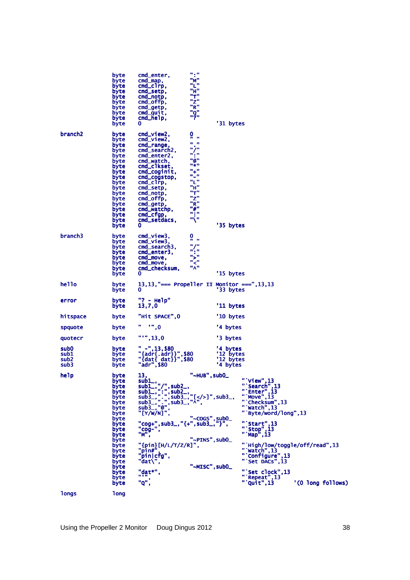|                                                                  | byte<br>byte<br>byte<br>byte<br>byte<br>byte<br>byte<br>byte<br>byte<br>byte                                                                                         | cmd_enter,<br>cmd_map,<br>$cmd_c1rp,$<br>cmd_setp,<br>cmd_notp,<br>cmd_offp,<br>cmd_getp,<br>cmd_quit,<br>cmd_help,<br>0                                                                                                                                                                                                                                                                                                                                            | $\mathbf{u}$ , $\mathbf{u}$<br>"M"<br>"L"<br>"H"<br>"T"<br>"z"<br>"R"<br>"Q"<br>"?"                                                                                                           | '31 bytes                                      |                                                                                                                                                                                                                                                                                                                         |                   |
|------------------------------------------------------------------|----------------------------------------------------------------------------------------------------------------------------------------------------------------------|---------------------------------------------------------------------------------------------------------------------------------------------------------------------------------------------------------------------------------------------------------------------------------------------------------------------------------------------------------------------------------------------------------------------------------------------------------------------|-----------------------------------------------------------------------------------------------------------------------------------------------------------------------------------------------|------------------------------------------------|-------------------------------------------------------------------------------------------------------------------------------------------------------------------------------------------------------------------------------------------------------------------------------------------------------------------------|-------------------|
| branch <sub>2</sub>                                              | byte<br>byte<br>byte<br>byte<br>byte<br>byte<br>byte<br>byte<br>byte<br>byte<br>byte<br>byte<br>byte<br>byte<br>byte<br>byte<br>byte<br>byte                         | cmd_view2,<br>cmd_view2,<br>cmd_range,<br>cmd_search2,<br>cmd_enter2,<br>cmd_watch,<br>cmd_clkset,<br>cmd_coginit,<br>cmd_cogstop,<br>$cmd_c$ $rip,$<br>cmd_setp,<br>cmd_notp,<br>cmd_offp,<br>cmd_getp,<br>cmd_watchp,<br>cmd_cfgp,<br>cmd_setdacs,<br>0                                                                                                                                                                                                           | 0<br>$\mathbf{u}$ and<br>$\mathbf{u}$ and<br>$\mathbf{u}/\mathbf{u}$<br>$n'$ , $n$<br>"a"<br><b>H * H</b><br>$" +"$<br>$\mathbf{u}_m$<br>"L"<br>"H"<br>"T"<br>"Z"<br>"R"<br>"#"<br>™j™<br>"\" | '35 bytes                                      |                                                                                                                                                                                                                                                                                                                         |                   |
| branch <sub>3</sub>                                              | byte<br>byte<br>byte<br>byte<br>byte<br>byte<br>byte<br>byte                                                                                                         | cmd_view3,<br>cmd_view3,<br>cmd_search3,<br>cmd_enter3,<br>cmd_move,<br>cmd_move,<br>cmd_checksum,<br>0                                                                                                                                                                                                                                                                                                                                                             | 0<br>ñи<br>$\mathbf{u}/\mathbf{u}$<br>$\mathbf{u}'$ , $\mathbf{u}$<br>">'<br>$\mathbf{u}_{\leq 0}$<br>"^"                                                                                     | '15 bytes                                      |                                                                                                                                                                                                                                                                                                                         |                   |
| hello                                                            | byte<br>byte                                                                                                                                                         | 13, 13, "=== Propeller II Monitor ===", 13, 13                                                                                                                                                                                                                                                                                                                                                                                                                      |                                                                                                                                                                                               | '33 bytes                                      |                                                                                                                                                                                                                                                                                                                         |                   |
| error                                                            | byte<br>byte                                                                                                                                                         | "? - Help"<br>13,7,0                                                                                                                                                                                                                                                                                                                                                                                                                                                |                                                                                                                                                                                               | '11 bytes                                      |                                                                                                                                                                                                                                                                                                                         |                   |
| hitspace                                                         | byte                                                                                                                                                                 | "Hit SPACE", 0                                                                                                                                                                                                                                                                                                                                                                                                                                                      |                                                                                                                                                                                               | '10 bytes                                      |                                                                                                                                                                                                                                                                                                                         |                   |
| spquote                                                          | byte                                                                                                                                                                 | " " " " , 0"                                                                                                                                                                                                                                                                                                                                                                                                                                                        |                                                                                                                                                                                               | '4 bytes                                       |                                                                                                                                                                                                                                                                                                                         |                   |
| quotecr                                                          | byte                                                                                                                                                                 | $" " "$ , 13,0                                                                                                                                                                                                                                                                                                                                                                                                                                                      |                                                                                                                                                                                               | '3 bytes                                       |                                                                                                                                                                                                                                                                                                                         |                   |
| sub <sub>0</sub><br>sub <sub>1</sub><br>sub <sub>2</sub><br>sub3 | byte<br>byte<br>byte<br>byte                                                                                                                                         | $" -", 13, $80$<br>"{adr{.adr}}",\$80<br>"{dat{ dat}}",\$80<br>"adr", \$80                                                                                                                                                                                                                                                                                                                                                                                          |                                                                                                                                                                                               | '4 bytes<br>'12 bytes<br>'12 bytes<br>'4 bytes |                                                                                                                                                                                                                                                                                                                         |                   |
| help                                                             | byte<br>руте<br>byte<br>byte<br>byte<br>byte<br>byte<br>byte<br>byte<br>byte<br>byte<br>byte<br>byte<br>byte<br>byte<br>byte<br>byte<br>byte<br>byte<br>byte<br>byte | 13,<br>$\begin{array}{c}\n\text{sub1},\n\text{sub2},\n\text{sub3},\n\end{array}$<br>$\begin{array}{c}\n\text{sub1},\n\end{array}$ , ", ", sub2, ,<br>sub1_, ": ", sub2_,<br>sub3_, ". ", sub3_, "[]", sub3_,<br>sub3_, ". ", sub3_, "[]", sub3_,<br>sub3_, ". ", sub3_, "^",<br>sub3_, ". ",<br>$"$ [Y/W/N]",<br>"cog+", sub3_, "{+", sub3_, "}",<br>"cog-",<br>"M",<br>"{pin}[H/L/T/Z/R]",<br>$"pin#"$<br>"pin cfg",<br>" $dat\\$ ",<br>"dat*",<br>88 V VI<br>"Q"; | "~HUB", sub0_<br>"~COGS", sub0_<br>"~PINS", sub0_<br>"~MISC", sub0_                                                                                                                           |                                                | "'View", 13<br>"Search",13<br>"Enter",13<br>$\cdots$ Move", 13<br>"Checksum", 13<br>" Watch", 13<br>" `Byte/word/long", 13<br>"`Start", $13$<br>" $\frac{13}{2}$ Map", 13<br>"'High/low/toggle/off/read",13<br>" watch", 13<br>" Configure", 13<br>"Set DACs", 13<br>"'Set clock", 13<br>"'Repeat", 13<br>$"$ Quit", 13 | '(0 long follows) |
| <b>longs</b>                                                     | <b>long</b>                                                                                                                                                          |                                                                                                                                                                                                                                                                                                                                                                                                                                                                     |                                                                                                                                                                                               |                                                |                                                                                                                                                                                                                                                                                                                         |                   |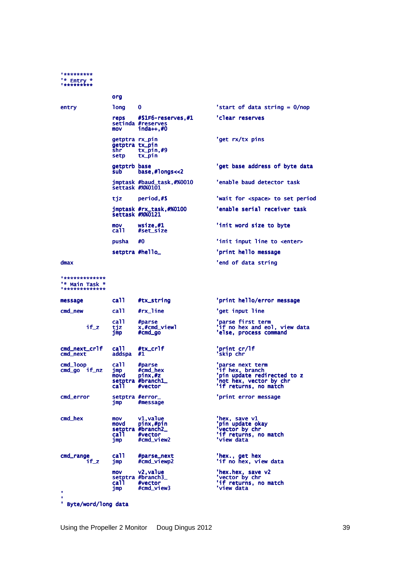# \*\*\*\*\*\*\*\*\*\*  $\frac{1*}{1**********}$

|       | org                                              |                                                                  |                                         |
|-------|--------------------------------------------------|------------------------------------------------------------------|-----------------------------------------|
| entry | <b>long</b>                                      | $\bf{0}$                                                         | 'start of data string = $0/nop$         |
|       | reps<br>mov                                      | $\#$ \$1F6-reserves, $\#$ 1<br>setinda #reserves<br>$inda++$ ,#0 | 'clear reserves                         |
|       | getptra rx_pin<br>getptra tx_pin<br>shr.<br>setp | tx_pin,#9<br>tx pin                                              | 'get rx/tx pins                         |
|       | getptrb base<br>sub                              | base, #longs < 2                                                 | 'get base address of byte data          |
|       |                                                  | jmptask #baud_task,#%0010<br>settask #%%0101                     | 'enable baud detector task              |
|       | tiz                                              | period,#\$                                                       | 'wait for <space> to set period</space> |
|       |                                                  | jmptask #rx_task,#%0100<br>settask #%%0121                       | 'enable serial receiver task            |
|       | mov<br>ca11                                      | wsize.#1<br>#set_size                                            | 'init word size to byte                 |
|       | pusha                                            | #0                                                               | 'init input line to <enter></enter>     |
|       |                                                  | setptra #hello_                                                  | 'print hello message                    |
| dmax  |                                                  |                                                                  | 'end of data string                     |

### $dmax$

"\*\*\*\*\*\*\*\*\*\*\*\*\*<br>"\* Main Task \*<br>"\*\*\*\*\*\*\*\*\*\*\*\*\*

| message                      | ca11                                    | #tx_string                                                           | 'print hello/error message                                                                                            |
|------------------------------|-----------------------------------------|----------------------------------------------------------------------|-----------------------------------------------------------------------------------------------------------------------|
| cmd_new                      | ca <sub>11</sub>                        | #rx_line                                                             | 'get input line                                                                                                       |
| $if_z$                       | ca <sub>11</sub><br>tjz<br>jmp          | #parse<br>x,#cmd_viewl<br>$#cmd_0$                                   | 'parse first term<br>'if no hex and eol, view data<br>'else, process command                                          |
| cmd_next_crlf<br>cmd_next    | ca <sub>11</sub><br>addspa              | #tx_cr1f<br>#1                                                       | 'print cr/lf<br>'skip chr                                                                                             |
| cmd_1oop<br>$cmd_qo$ if $nz$ | ca <sub>11</sub><br>jmp<br>movd<br>call | #parse<br>#cmd_hex<br>pinx,#z<br>setptra #branch1_<br>#vector        | 'parse next term<br>if hex, branch<br>'pin update redirected to z<br>'not hex, vector by chr<br>'if returns, no match |
| cmd_error                    | jmp                                     | setptra #error_<br>#message                                          | 'print error message                                                                                                  |
| cmd_hex                      | mov<br>movd<br>call ca<br>jmp           | v1, value<br>pinx,#pin<br>setptra #branch2_<br>#vector<br>#cmd_view2 | 'hex, save v1<br>'pin update okay<br>'vector by chr<br>'if returns, no match<br>'view data                            |
| cmd_range<br>if z            | ca <sub>11</sub><br>imp                 | #parse_next<br>#cmd_viewp2                                           | 'hex., get hex<br>'if no hex, view data                                                                               |
| ٠<br>٠                       | mov<br><b>call</b><br>imp               | v2, value<br>setptra #branch3_<br>#vector<br>#cmd_view3              | 'hex.hex, save v2<br>'vector by chr<br>'if returns, no match<br>'view data                                            |

' Byte/word/long data

Using the Propeller 2 Monitor Doug Dingus 2012

39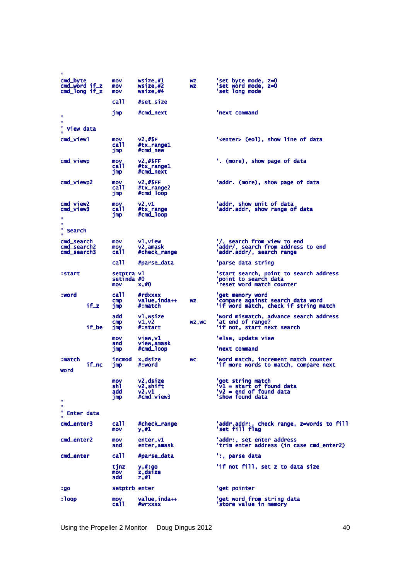| ٠                                          |       |                                 |                                              |                        |                                                                                                  |
|--------------------------------------------|-------|---------------------------------|----------------------------------------------|------------------------|--------------------------------------------------------------------------------------------------|
| cmd_byte<br>cmd_word if_z<br>cmd_long if_z |       | mov<br>mov<br>mov               | wsize,#1<br>wsize,#2<br>wsize,#4             | <b>WZ</b><br><b>WZ</b> | 'set byte mode, z=0<br>'set word mode, z=0<br>'set long mode                                     |
|                                            |       | ca11                            | #set_size                                    |                        |                                                                                                  |
| $\blacksquare$<br>٠<br>' View data         |       | jmp                             | #cmd_next                                    |                        | 'next command                                                                                    |
| cmd_viewl                                  |       |                                 |                                              |                        |                                                                                                  |
|                                            |       | mov<br>ca11<br>jmp              | <b>v2,#\$F</b><br>#tx_range1<br>#cmd_new     |                        | ' <enter> (eol), show line of data</enter>                                                       |
| cmd_viewp                                  |       | mov<br>ca11<br>jmp              | v2,#\$FF<br>#tx_range1<br>#cmd_next          |                        | '. (more), show page of data                                                                     |
| cmd_viewp2                                 |       | mov<br>ca11<br>jmp              | v2,#\$FF<br>#tx_range2<br>#cmd_loop          |                        | 'addr. (more), show page of data                                                                 |
| cmd_view2<br>cmd view3<br>٠                |       | mov<br>ca11<br>jmp              | v2, v1<br>#tx_range<br>#cmd_loop             |                        | 'addr, show unit of data<br>'addr.addr, show range of data                                       |
| ٠<br>٧<br>Search                           |       |                                 |                                              |                        |                                                                                                  |
| cmd_search<br>cmd_search2<br>cmd_search3   |       | mov<br>mov<br>ca11              | v1,view<br>v2.amask<br>#check_range          |                        | '/, search from view to end<br>'addr/, search from address to end<br>'addr.addr/, search range   |
|                                            |       | ca11                            | #parse_data                                  |                        | 'parse data string                                                                               |
| :start                                     |       | setptra v1<br>setinda #0<br>mov | x, #0                                        |                        | 'start search, point to search address<br>'point to search data<br>'reset word match counter     |
| :word                                      | if_z  | ca11<br>$_{\text{cmp}}$<br>jmp  | #rdxxxx<br>value,inda++<br>#:match           | WZ                     | 'get memory word<br>'compare against search data word<br>'if word match, check if string match   |
|                                            | if_be | add<br>cmp<br>jmp               | vl,wsize<br>v1, v2<br>#:start                | WZ, WC                 | 'word mismatch, advance search address<br>'at end of range?<br>'if not, start next search        |
|                                            |       | mov                             | view.v1                                      |                        | 'else, update view                                                                               |
|                                            |       | and<br>jmp                      | view,amask<br>#cmd_loop                      |                        | 'next command                                                                                    |
| :match<br>word                             | if_nc | incmod<br>jmp                   | x,dsize<br>#:word                            | <b>WC</b>              | 'word match, increment match counter<br>'if more words to match, compare next                    |
| ٠                                          |       | mov<br>sh1<br>add<br>jmp        | v2,dsize<br>v2,shift<br>v2, v1<br>#cmd_view3 |                        | 'got string match<br>$V1 = start of found data$<br>$'v2 = end of found data$<br>'show found data |
| ٠<br>٧<br>Enter data                       |       |                                 |                                              |                        |                                                                                                  |
| cmd_enter3                                 |       | ca11<br>mov                     | #check_range<br>y,#1                         |                        | 'addr.addr:, check range, z=words to fill<br>'set fill flag                                      |
| cmd_enter2                                 |       | mov<br>and                      | enter, vl<br>enter,amask                     |                        | 'addr:, set enter address<br>'trim enter address (in case cmd_enter2)                            |
| cmd_enter                                  |       | ca11                            | #parse_data                                  |                        | ':, parse data                                                                                   |
|                                            |       | tjnz<br>mov<br>add              | y,#:go<br>z,dsize<br>z,#1                    |                        | 'if not fill, set z to data size                                                                 |
| :go                                        |       | setptrb enter                   |                                              |                        | 'get pointer                                                                                     |
| : loop                                     |       | mov<br>ca11                     | value, inda++<br>#wrxxxx                     |                        | 'get word from string data<br>'store value in memory                                             |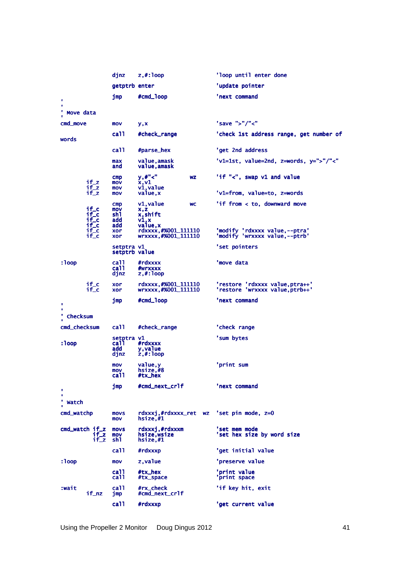|                           |                                                          | djnz                                        | $z$ , $#$ : loop                                               | 'loop until enter done                                            |
|---------------------------|----------------------------------------------------------|---------------------------------------------|----------------------------------------------------------------|-------------------------------------------------------------------|
|                           |                                                          | getptrb enter                               |                                                                | 'update pointer                                                   |
| ٠<br>٠                    |                                                          | jmp                                         | #cmd_loop                                                      | 'next command                                                     |
| ٠<br>Move data            |                                                          |                                             |                                                                |                                                                   |
| cmd_move                  |                                                          | mov                                         | y,x                                                            | 'save ">"/"<"                                                     |
| words                     |                                                          | ca11                                        | #check_range                                                   | 'check 1st address range, get number of                           |
|                           |                                                          | ca11                                        | #parse_hex                                                     | 'get 2nd address                                                  |
|                           |                                                          | max<br>and                                  | value,amask<br>value, amask                                    | $'v1=1st$ , value=2nd, z=words, y=">"/"<"                         |
|                           | $if_z$<br>$if_z$                                         | cmp<br>mov<br>mov                           | y,#"<"<br>WZ<br>x,v1<br>v1, value                              | 'if "<", swap v1 and value                                        |
|                           | $if_z$                                                   | mov                                         | value, x                                                       | 'v1=from, value=to, z=words                                       |
|                           | if_c<br>if_c<br>$i f$ <sub>c</sub><br>$i f$ <sub>c</sub> | $_{\text{cmp}}$<br>mov<br>sh1<br>add<br>add | v1, value<br><b>WC</b><br>x,z<br>x, shift<br>v1, x<br>value, x | 'if from < to, downward move                                      |
|                           | if_c<br>$i f$ <sub>c</sub>                               | xor<br>xor                                  | rdxxxx, #%001_111110<br>wrxxxx,#%001_111110                    | 'modify 'rdxxxx value,--ptra'<br>'modify 'wrxxxx value,--ptrb'    |
|                           |                                                          | setptra v1<br>setptrb value                 |                                                                | 'set pointers                                                     |
| : loop                    |                                                          | ca11<br>ca11<br>djnz                        | #rdxxxx<br>#wrxxxx<br>$z$ , $#$ : loop                         | 'move data                                                        |
|                           | if_c<br>$i f$ <sub>c</sub>                               | xor<br>xor                                  | rdxxxx, #%001_111110<br>wrxxxx,#%001_111110                    | 'restore 'rdxxxx value, ptra++'<br>'restore 'wrxxxx value.ptrb++' |
| ٠                         |                                                          | jmp                                         | #cmd_loop                                                      | 'next command                                                     |
| ٠<br>٠<br><b>Checksum</b> |                                                          |                                             |                                                                |                                                                   |
| cmd_checksum              |                                                          | call.                                       | #check_range                                                   | 'check range                                                      |
|                           |                                                          | setptra v1                                  |                                                                | 'sum bytes                                                        |
| : $loop$                  |                                                          | ca11.<br>add<br>djnz                        | #rdxxxx<br>y, value<br>$z$ , $#:$ loop                         |                                                                   |
|                           |                                                          | mov<br>mov<br>ca11                          | value, y<br>hsize,#8<br>#tx_hex                                | 'print sum                                                        |
| ٠<br>٠                    |                                                          | jmp                                         | #cmd_next_crlf                                                 | 'next command                                                     |
| ' watch                   |                                                          |                                             |                                                                |                                                                   |
| cmd_watchp                |                                                          | <b>MOVS</b><br>mov                          | rdxxxj,#rdxxxx_ret wz 'set pin mode, z=0<br>hsize,#1           |                                                                   |
| $cmd$ watch if $z$        | if z<br>if_z                                             | <b>MOVS</b><br>mov<br>sh1                   | rdxxxj.#rdxxxm<br>hsize,wsize<br>hsize, #1                     | 'set mem mode<br>'set hex size by word size                       |
|                           |                                                          | ca11                                        | #rdxxxp                                                        | 'get initial value                                                |
| : $loop$                  |                                                          | mov                                         | z, value                                                       | 'preserve value                                                   |
|                           |                                                          | ca11<br>ca11                                | #tx_hex<br>#tx_space                                           | 'print value<br>'print space                                      |
| :wait                     | if_nz                                                    | ca11<br>jmp                                 | #rx_check<br>#cmd_next_crlf                                    | 'if key hit, exit                                                 |
|                           |                                                          | ca11                                        | #rdxxxp                                                        | 'get current value                                                |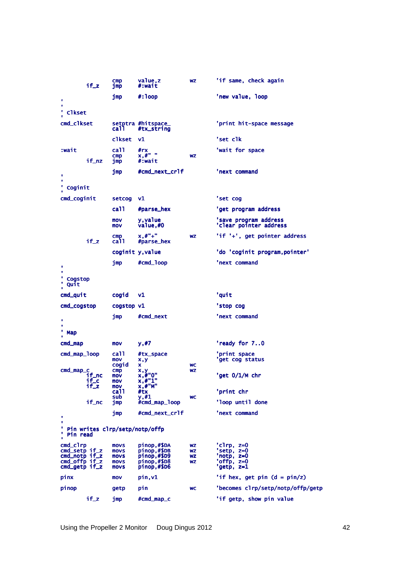|                                                                              | $if_z$                 | cmp<br>jmp                                         | value,z<br>#:wait                                                       | WZ                                               | 'if same, check again                                              |
|------------------------------------------------------------------------------|------------------------|----------------------------------------------------|-------------------------------------------------------------------------|--------------------------------------------------|--------------------------------------------------------------------|
| ٠                                                                            |                        | jmp                                                | $\#$ : loop                                                             |                                                  | 'new value, loop                                                   |
|                                                                              |                        |                                                    |                                                                         |                                                  |                                                                    |
| <b>Clkset</b>                                                                |                        |                                                    |                                                                         |                                                  |                                                                    |
| cmd_clkset                                                                   |                        | ca11                                               | setptra #hitspace_<br>#tx_string                                        |                                                  | 'print hit-space message                                           |
|                                                                              |                        | c1kset                                             | v1                                                                      |                                                  | 'set clk                                                           |
| :wait                                                                        | if_nz                  | ca11<br>cmp<br>jmp                                 | #rx<br>$x, \#$ " "<br>#:wait                                            | <b>WZ</b>                                        | 'wait for space                                                    |
| ٠<br>٠                                                                       |                        | jmp                                                | #cmd_next_crlf                                                          |                                                  | 'next command                                                      |
| ٠<br>Coginit                                                                 |                        |                                                    |                                                                         |                                                  |                                                                    |
| cmd_coginit                                                                  |                        | setcog                                             | V1                                                                      |                                                  | 'set cog                                                           |
|                                                                              |                        | ca11                                               | #parse_hex                                                              |                                                  | 'get program address                                               |
|                                                                              |                        | mov<br>mov                                         | y, value<br>value,#0                                                    |                                                  | 'save program address<br>'clear pointer address                    |
|                                                                              | $if_z$                 | $\mathsf{cmp}$<br>ca <sub>11</sub>                 | $x, #" +"$<br>#parse_hex                                                | <b>WZ</b>                                        | 'if '+', get pointer address                                       |
|                                                                              |                        |                                                    | coginit y, value                                                        |                                                  | 'do 'coginit program, pointer'                                     |
| ٠                                                                            |                        | jmp                                                | #cmd_loop                                                               |                                                  | 'next command                                                      |
| ٠<br>Cogstop<br>Quit                                                         |                        |                                                    |                                                                         |                                                  |                                                                    |
| cmd_quit                                                                     |                        | cogid                                              | ٧1                                                                      |                                                  | 'quit                                                              |
| cmd_cogstop                                                                  |                        | cogstop vl                                         |                                                                         |                                                  | 'stop cog                                                          |
| ٠<br>٠                                                                       |                        | jmp                                                | #cmd_next                                                               |                                                  | 'next command                                                      |
| Map                                                                          |                        |                                                    |                                                                         |                                                  |                                                                    |
| cmd_map                                                                      |                        | mov                                                | y,#7                                                                    |                                                  | 'ready for 70                                                      |
| cmd_map_loop                                                                 |                        | ca11<br>mov<br>cogid                               | #tx_space<br>x,y<br>x                                                   | <b>WC</b>                                        | 'print space<br>'get cog status                                    |
| cmd_map_c                                                                    | if_nc<br>if_c<br>2_ד ר | $_{\mathsf{cmp}}$<br>mov<br>mov<br>mov             | x,y<br>x,#"0"<br>x, 4"1"<br>x,#"M                                       | WZ                                               | 'get O/1/M chr                                                     |
|                                                                              |                        | ca11<br>sub                                        | #tx                                                                     |                                                  | 'print chr                                                         |
|                                                                              | if_nc                  | jmp                                                | y,#1<br>#cmd_map_loop                                                   | <b>WC</b>                                        | 'loop until done                                                   |
| ٠                                                                            |                        | jmp                                                | #cmd_next_crlf                                                          |                                                  | 'next command                                                      |
| ٠<br>٠<br>٠<br>Pin read                                                      |                        |                                                    | Pin writes clrp/setp/notp/offp                                          |                                                  |                                                                    |
| cmd_clrp<br>cmd_setp if_z<br>cmd_notp if_z<br>cmd_offp if_z<br>cmd_getp if_z |                        | movs<br>movs<br>movs<br><b>MOVS</b><br><b>MOVS</b> | pinop,#\$DA<br>pinop,#\$DB<br>pinop,#\$D9<br>pinop,#\$D8<br>pinop,#\$D6 | <b>WZ</b><br><b>WZ</b><br><b>WZ</b><br><b>WZ</b> | 'clrp, z=0<br>'setp, z=0<br>'notp, z=0<br>'offp. z=0<br>'getp, z=1 |
| pinx                                                                         |                        | mov                                                | pin, v1                                                                 |                                                  | 'if hex, get pin $(d = pin/z)$                                     |
| pinop                                                                        |                        | getp                                               | pin                                                                     | <b>WC</b>                                        | 'becomes clrp/setp/notp/offp/getp                                  |
|                                                                              | if_z                   | jmp                                                | #cmd_map_c                                                              |                                                  | 'if getp, show pin value                                           |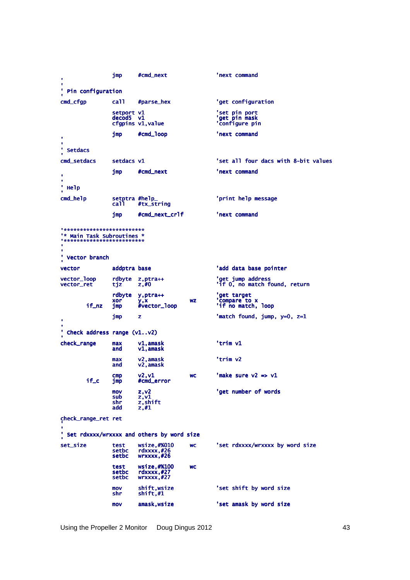jmp #cmd\_next 'next command Pin configuration  $\mathbf{r}$ 'get configuration cmd\_cfgp ca<sub>11</sub> #parse\_hex setport v1<br>decod5 v1 'set pin port<br>'get pin mask<br>'configure pin cfgpins v1, value #cmd\_loop 'next command jmp **Setdacs** cmd\_setdacs setdacs v1 'set all four dacs with 8-bit values imp #cmd\_next 'next command × ' Help cmd\_help setptra #help\_<br>call #tx\_string 'print help message #cmd\_next\_crlf 'next command jmp \*\*\*\*\*\*\*\*\*\*\*\*\*\*\*\*\*\*\*\*\*\*\*\*\*\* "\* Main Task Subroutines \*<br>"\*\*\*\*\*\*\*\*\*\*\*\*\*\*\*\*\*\*\*\*\*\*\*\*\*  $\mathbf{r}$ **Vector branch** vector addptra base 'add data base pointer rdbyte z, ptra++<br>tjz z,#0 vector\_loop<br>vector\_ret 'get jump address<br>'if O, no match found, return rdbyte y, ptra++ 'get target<br>'compare to x<br>'if no match, loop xor  $WZ$ y,x<br>#vector\_loop  $if_nz$  $jmp$ jmp  $\overline{\mathbf{z}}$ 'match found, jump, y=0, z=1 Check address range (v1..v2) v1,amask<br>v1,amask 'trim v1 check\_range max and v2,amask<br>v2,amask max 'trim v2 and v2,v1<br>#cmd\_error 'make sure  $v2 \Rightarrow v1$ cmp<br>jmp **WC**  $if_{c}$ z, v2<br>z, v1<br>z, shift<br>z, #1 mov<br>sub 'get number of words shr add check\_range\_ret ret Set rdxxxx/wrxxxx and others by word size wsize,#%010<br>rdxxxx,#26<br>wrxxxx,#26 set\_size 'set rdxxxx/wrxxxx by word size test<br>setbc **WC** setbc test wsize, #%100 wc setbc rdxxxx,#27<br>wrxxxx,#27 setbc shift,wsize<br>shift,#1 'set shift by word size  $m<sub>0</sub>$  $\overline{\mathsf{s}}$ hr  $mov$ amask, wsize 'set amask by word size

Using the Propeller 2 Monitor Doug Dingus 2012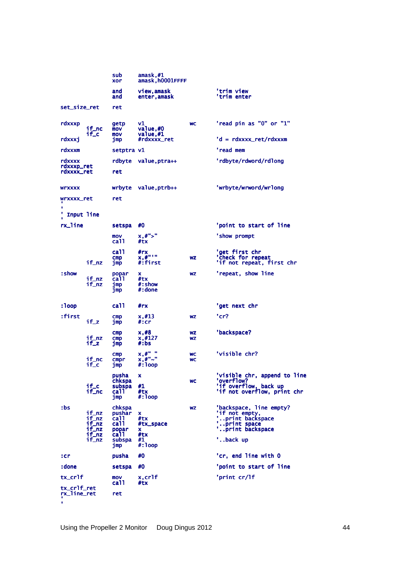|                                 |                                                    | sub<br>xor                                                                     | amask,#1<br>amask,h0001FFFF                            |                        |                                                                                                              |
|---------------------------------|----------------------------------------------------|--------------------------------------------------------------------------------|--------------------------------------------------------|------------------------|--------------------------------------------------------------------------------------------------------------|
|                                 |                                                    | and<br>and                                                                     | view,amask<br>enter,amask                              |                        | 'trim view<br>'trim enter                                                                                    |
| set_size_ret                    |                                                    | ret                                                                            |                                                        |                        |                                                                                                              |
| rdxxxp                          | if_nc<br>if_c:                                     | getp<br>mov<br>mov                                                             | ٧1<br>value,#0<br>value,#1                             | <b>WC</b>              | 'read pin as "0" or "1"                                                                                      |
| rdxxxi                          |                                                    | jmp                                                                            | #rdxxxx_ret                                            |                        | 'd = rdxxxx_ret/rdxxxm                                                                                       |
| rdxxxm                          |                                                    | setptra v1                                                                     |                                                        |                        | 'read mem                                                                                                    |
| rdxxxx<br>rdxxxp_ret            |                                                    |                                                                                | rdbyte value, ptra++                                   |                        | 'rdbyte/rdword/rdlong                                                                                        |
| rdxxxx_ret                      |                                                    | ret                                                                            |                                                        |                        |                                                                                                              |
| WLXXXX                          |                                                    |                                                                                | wrbyte value, ptrb++                                   |                        | 'wrbyte/wrword/wrlong                                                                                        |
| wrxxxx_ret                      |                                                    | ret                                                                            |                                                        |                        |                                                                                                              |
| Input line                      |                                                    |                                                                                |                                                        |                        |                                                                                                              |
| rx_line                         |                                                    | setspa                                                                         | #0                                                     |                        | 'point to start of line                                                                                      |
|                                 |                                                    | mov<br>ca11                                                                    | x, #">'<br>#tx                                         |                        | 'show prompt                                                                                                 |
|                                 | if_nz                                              | ca11<br>$\mathsf{cmp}$<br>jmp                                                  | #rx<br>$x, \#$ " ' "<br>#:first                        | <b>WZ</b>              | 'get first chr<br>'Check for repeat<br>'if not repeat, first chr                                             |
| : show                          | if_nz<br>if_nz                                     | popar<br>ca11<br>jmp<br>jmp                                                    | x<br>#tx<br>#:show<br>#:done                           | <b>WZ</b>              | 'repeat, show line                                                                                           |
| : loop                          |                                                    | ca11                                                                           | #rx                                                    |                        | 'get next chr                                                                                                |
| :first                          | $if_z$                                             | $_{\text{cmp}}$<br>jmp                                                         | x, #13<br>#:cr                                         | <b>WZ</b>              | 'cr?                                                                                                         |
|                                 | if_nz<br>if_z                                      | $_{\text{cmp}}$<br>$_{\text{cmp}}$<br>jmp                                      | x, #8<br>x, #127<br>#:bs                               | <b>WZ</b><br><b>WZ</b> | 'backspace?                                                                                                  |
|                                 | if_nc<br>if_c                                      | $_{\text{cmp}}$<br>cmpr<br>jmp                                                 | x, #"<br>x, #"~"<br>$\#$ : loop                        | <b>WC</b><br><b>WC</b> | 'visible chr?                                                                                                |
|                                 | $if_{c}$<br>if_nc                                  | pusha<br>chkspa<br>subspa<br>ca11<br>jmp                                       | x<br>#1<br>#tx<br>$\#$ : 100p                          | <b>WC</b>              | 'visible chr, append to line<br>'overflow?<br>'if overflow, back up<br>'if not overflow, print chr           |
| :bs                             | if_nz<br>if_nz<br>if_nz<br>if_nz<br>if_nz<br>if_nz | chkspa<br>pushar<br>ca <sub>11</sub><br>ca11<br>popar<br>ca11<br>subspa<br>jmp | x<br>#tx<br>#tx_space<br>x<br>#tx<br>#1<br>$\#$ : 100p | <b>WZ</b>              | 'backspace, line empty?<br>'if not empty,<br>'print backspace<br>print space<br>'print backspace<br>'back up |
| $:$ cr                          |                                                    | pusha                                                                          | #0                                                     |                        | 'cr, end line with O                                                                                         |
| :done                           |                                                    | setspa                                                                         | #0                                                     |                        | 'point to start of line                                                                                      |
| tx_cr1f                         |                                                    | mov<br>ca <sub>11</sub>                                                        | x, cr1f<br>#tx                                         |                        | 'print cr/lf                                                                                                 |
| tx_cr1f_ret<br>rx_line_ret<br>٠ |                                                    | ret                                                                            |                                                        |                        |                                                                                                              |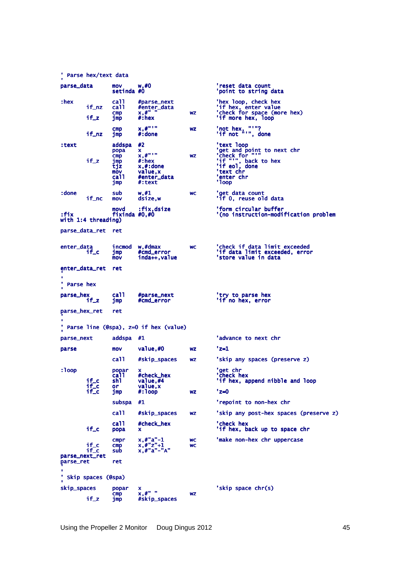' Parse hex/text data parse\_data parse\_data mov w,#0 'reset data count set data count setinda #0 'point to string data int data : hex hex call #parse\_next "hex loop, check hex<br>if\_nz call #enter\_data "if hex, enter value<br>cmp x,#" wz 'check for space (more hex)<br>if\_z jmp #:hex wz 'if more hex, loop cmp x,#"'" wz 'not hex, "'"? t hex, "'"? if\_nz jmp #:done 'if not "'", done :text text addspa #2<br>
popa x<br>
cmp x,#"'" wz 'get and point to next chr<br>
if\_z jmp #:hex<br>
if\_z jmp #:hex<br>
tip x,#:done<br>
wz 'if "", back to hex<br>
if eol, done<br>
mov value,x<br>
l'ext chr aduspa \*x<br>
cmp x,#"'"<br>
cmp \*x,#"'"<br>
jmp #:hex<br>
tjz x,#:done<br>
mov value,x<br>
call #enter\_data<br>
imp #:text call #enter\_data 'enter chr<br>jmp #:text 'loop : done done sub w,#1 wc 'get data count:<br>if\_nc mov dsize,w 'if 0, reuse old data movd :fix,dsize 'form circular buffer 'form conduction- movid' intervals.<br>Itix fixinda #0,#0 '(no instruction-modification problem: movd :fix,dsize<br>fixinda #0,#0:<br>with 1:4 threading) parse\_data\_ret ret enter\_data<br>if\_c enter\_data incmod w,#dmax 'check if data limit exceeded<br>if\_c jmp #cmd\_error 'if data limit exceeded, error<br>mov inda++,value 'store value in dat enter\_data\_ret ret ' ' ' Parse hex ' Parse parse\_hex parse\_hex call #parse\_next 'try to parse hex y if\_z jmp #cmd\_error 'if no hex, error hex, error parse\_hex\_ret ret ', ' Parse line (@spa), z=0 if hex (value) parse\_next addspa #1  $'$ advance to next chr parse mov value,  $#0$  wz 'z=1 call #skip\_spaces wz 'skip any spaces (preserve z)  $:1$ oop :loop popar x 'get chr call #check\_hex 'ch call #check\_hex 'check hex heck hex eck hex if\_c shl value,#4 'if hex, append nibble and loop hex, append loop popar<br>
call #check\_l<br>
if\_c or value,#<br>
if\_c or value,x<br>
if\_c jmp #:loop if\_c jmp #:loop wz 'z=0 subspa #1  $'$ repoint to non-hex chr call #skip\_spaces wz 'skip any post-hex spaces (preserve z) call #check\_hex 'check hex 'check hex<br>if\_c popa x 'if hex, back up to space chr cmpr  $x, #"a"-1$  wc 'make non-hex chr uppercase<br>if\_c cmp  $x, #"z"+1$  wc<br>if\_c sub  $x, #"a"-"A"$  if\_c cmp x,#"z"+1 wc x,#"z"+1 if\_c sub x,#"a"- x,#"a"-"A" parse\_next\_ret parse\_next\_ret parse\_ret ret ' ' ' Skip spaces (@spa) ' spaces (@spa) ', skip\_spaces popar x  $\begin{array}{ccc} \n\text{cmin} & x & \text{$ **slip** $space chr(s)$  cmp x,#" " wz x,#" " wz wz  $#$ skip\_spaces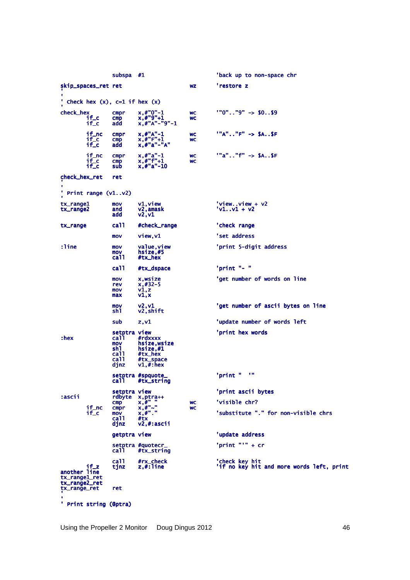|                                       | subspa #1                                                              |                                                                                   |                        | 'back up to non-space chr                                   |
|---------------------------------------|------------------------------------------------------------------------|-----------------------------------------------------------------------------------|------------------------|-------------------------------------------------------------|
| skip_spaces_ret ret                   |                                                                        |                                                                                   | <b>WZ</b>              | 'restore z                                                  |
| ' Check hex $(x)$ , c=1 if hex $(x)$  |                                                                        |                                                                                   |                        |                                                             |
| check_hex<br>if_c<br>$if_{c}$         | cmpr<br>cmp<br>add                                                     | $x, #"0" - 1$<br>$x, #"9"+1$<br>x, #"A"-"9"-1                                     | <b>WC</b><br><b>WC</b> | $1"0".1"9" -> $059$                                         |
| if_nc<br>$if_c$<br>if_c               | cmpr<br>cmp<br>add                                                     | $x$ , $# "A" - 1$<br>$x, #"F"+1$<br>$x$ , $# "a" - "A"$                           | <b>WC</b><br>WC        | $"A". . "F" -> SA. .5F$                                     |
| if_nc<br>$if_{c}$<br>$if_{c}$         | cmpr<br>$\mathsf{cmp}$<br>sub                                          | $x, #"a" - 1$<br>$x$ , #" $f$ "+1<br>$x$ , #"a"-10                                | <b>WC</b><br><b>WC</b> | $"a". "f" -> SASF$                                          |
| check_hex_ret                         | ret                                                                    |                                                                                   |                        |                                                             |
| ' Print range (v1v2)                  |                                                                        |                                                                                   |                        |                                                             |
| tx_range1<br>tx_range2                | mov<br>and<br>add                                                      | $v1, v$ iew<br>v2,amask<br>v2, v1                                                 |                        | $'$ viewview + v2<br>$v1. .v1 + v2$                         |
| tx_range                              | ca11                                                                   | #check_range                                                                      |                        | 'check range                                                |
|                                       | mov                                                                    | view, v1                                                                          |                        | 'set address                                                |
| :line                                 | mov<br>mov<br>ca11                                                     | value, view<br>hsize,#5<br>#tx_hex                                                |                        | 'print 5-digit address                                      |
|                                       | ca11                                                                   | #tx_dspace                                                                        |                        | 'print "- "                                                 |
|                                       | mov<br>rev<br>mov<br>max                                               | x,wsize<br>$x, #32-5$<br>v1, z<br>v1, x                                           |                        | 'get number of words on line                                |
|                                       | mov<br>sh1                                                             | v2, v1<br>v2,shift                                                                |                        | 'get number of ascii bytes on line                          |
|                                       | sub                                                                    | z, v1                                                                             |                        | 'update number of words left                                |
| $:$ hex                               | setptra view<br>ca11<br>mov<br>sh1<br>ca11<br>ca <sub>11</sub><br>djnz | #rdxxxx<br>hsize, wsize<br>hsize, #1<br>#tx_hex<br>#tx_space<br>$v1$ , $\#$ : hex |                        | 'print hex words                                            |
|                                       | ca i i                                                                 | setptra #spquote_<br>#tx_string                                                   |                        | $\mathbf{u}$<br>'print "                                    |
| :ascii                                | setptra view<br>rdbyte                                                 |                                                                                   |                        | 'print ascii bytes                                          |
| if_nc                                 | $\mathsf{cmp}$<br>cmpr                                                 | x, ptra++<br>$x, \#$ <sup>"</sup><br>$x, #" \sim$ "                               | <b>WC</b><br><b>WC</b> | 'visible chr?                                               |
| $if_{c}$                              | mov<br>ca11<br>djnz                                                    | x, #".<br>#tx<br>v2.#:ascii                                                       |                        | 'substitute "." for non-visible chrs                        |
|                                       | getptra view                                                           |                                                                                   |                        | 'update address                                             |
|                                       | ca11.                                                                  | setptra #quotecr_<br>#tx_string                                                   |                        | ' $print$ "" + $cr$                                         |
| if_z<br>another line<br>tx_range1_ret | ca11<br>tinz                                                           | #rx_check<br>$z$ , $#$ : line                                                     |                        | 'check key hit<br>'if no key hit and more words left, print |
| tx_range2_ret<br>tx_range_ret         | ret                                                                    |                                                                                   |                        |                                                             |
| ' Print string (@ptra)                |                                                                        |                                                                                   |                        |                                                             |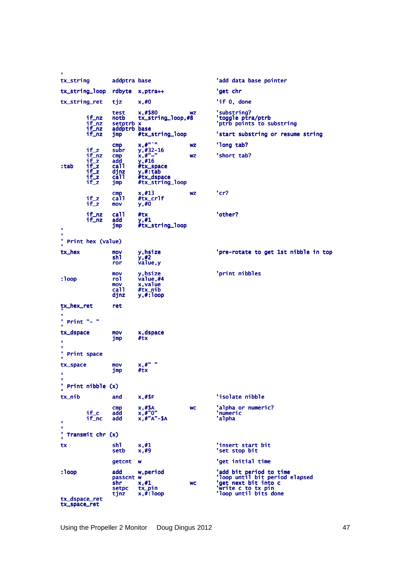| tx_string                     |                                                                          | addptra base                                                             |                                                                                                 |           | 'add data base pointer                                                                                                           |
|-------------------------------|--------------------------------------------------------------------------|--------------------------------------------------------------------------|-------------------------------------------------------------------------------------------------|-----------|----------------------------------------------------------------------------------------------------------------------------------|
| tx_string_loop                |                                                                          | rdbyte                                                                   | x, ptra++                                                                                       |           | 'get chr                                                                                                                         |
| tx_string_ret                 |                                                                          | tjz                                                                      | x, #0                                                                                           |           | 'if 0, done                                                                                                                      |
|                               | if_nz<br>$i f_n z$<br>if_nz<br>if_nz                                     | test<br>notb<br>setptrb x<br>addptrb base<br>jmp                         | x, #\$80<br>$tx\_string\_loop, #8$<br>#tx_string_loop                                           | <b>WZ</b> | 'substring?<br>'toggle ptra/ptrb<br>'ptrb points to substring<br>'start substring or resume string                               |
|                               |                                                                          | cmp                                                                      | $x, \#$ " ` "                                                                                   | <b>WZ</b> | 'long tab?                                                                                                                       |
| :tab                          | $if_z$<br>$i f_n z$<br>$if_z$<br>$i f_z$<br>$if_z$<br>$i f_z$<br>$i f_z$ | subr<br>$\mathsf{cmp}$<br>add<br>ca11<br>djnz<br>ca <sub>11</sub><br>jmp | $y, #32-16$<br>$x, \#$ "~"<br>y, #16<br>#tx_space<br>y, #: tab<br>#tx_dspace<br>#tx_string_loop | WZ        | 'short tab?                                                                                                                      |
|                               | $if_z$<br>if_z                                                           | $\mathsf{cmp}$<br>ca11<br>mov                                            | x, #13<br>#tx_cr1f<br>$y, \overline{\#0}$                                                       | <b>WZ</b> | 'cr?                                                                                                                             |
| ٠<br>٠                        | if_nz<br>if_nz                                                           | ca11<br>add<br>jmp                                                       | #tx<br>y,#1<br>#tx_string_loop                                                                  |           | 'other?                                                                                                                          |
|                               | ' Print hex (value)                                                      |                                                                          |                                                                                                 |           |                                                                                                                                  |
| tx_hex                        |                                                                          | mov<br>shl<br>ror                                                        | y,hsize<br>y, #2<br>value, y                                                                    |           | 'pre-rotate to get 1st nibble in top                                                                                             |
| : 1oop                        |                                                                          | mov<br>rol<br>mov<br>ca11<br>djnz                                        | y, hsize<br>value,#4<br>x, value<br>#tx_nib<br>$y$ , $#$ : loop                                 |           | 'print nibbles                                                                                                                   |
| tx_hex_ret                    |                                                                          | ret                                                                      |                                                                                                 |           |                                                                                                                                  |
| Print "- "                    |                                                                          |                                                                          |                                                                                                 |           |                                                                                                                                  |
| tx_dspace<br>٠<br>Print space |                                                                          | mov<br>jmp                                                               | x, dspace<br>#tx                                                                                |           |                                                                                                                                  |
| tx_space<br>٠                 |                                                                          | mov<br>jmp                                                               | x, #"<br>#tx                                                                                    |           |                                                                                                                                  |
| ٠                             | ' Print nibble (x)                                                       |                                                                          |                                                                                                 |           |                                                                                                                                  |
| tx_nib                        |                                                                          | and                                                                      | $x,$ #\$F                                                                                       |           | 'isolate nibble                                                                                                                  |
| ٠                             | if_c<br>if_nc                                                            | $\mathsf{cmp}$<br>add<br>add                                             | $x, #$ \$A<br>$x.*''0''$<br>$x$ , $#"A"$ -\$A                                                   | <b>WC</b> | 'alpha or numeric?<br>'numeric<br>'alpha                                                                                         |
| ٠<br>٧<br>Transmit chr (x)    |                                                                          |                                                                          |                                                                                                 |           |                                                                                                                                  |
| tx                            |                                                                          | sh1.<br>setb                                                             | x, #1<br>x,#9                                                                                   |           | 'insert start bit<br>'set stop bit                                                                                               |
|                               |                                                                          | getcnt                                                                   | <b>W</b>                                                                                        |           | 'get initial time                                                                                                                |
| $:1$ oop<br>tx_dspace_ret     |                                                                          | add<br>passcnt w<br>shr.<br>setpc<br>tjnz                                | w, period<br>x, #1<br>tx_pin<br>$x$ , $\#$ : loop                                               | <b>WC</b> | 'add bit period to time<br>'loop until bit period elapsed<br>'get next bit into c<br>'write c to tx pin<br>'loop until bits done |
| tx_space_ret                  |                                                                          |                                                                          |                                                                                                 |           |                                                                                                                                  |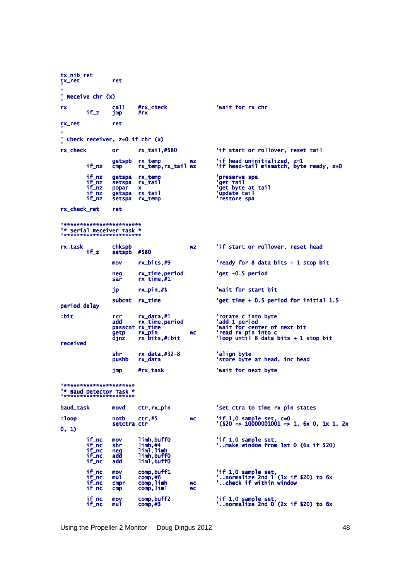tx\_nib\_ret tx\_ret ret ' '<br>' Receive chr (x) ' rx call #rx\_check 'wait for rx chr<br>if z imp #rx call #rx\_check<br>jmp #rx rx\_ret ret ' '<br>' Check receiver, z=0 if chr (x) rx\_check or rx\_tail,#\$80 'if start or rollover, reset tail getspb rx\_temp wz 'if head uninitialized, z=1 uninitialized, if\_nz cmp rx\_temp,rx\_tail wz 'if head-tail mismatch, byte tail byte ready, z=0 z=0 if\_nz getspa rx\_temp 'preserve spa<br>if\_nz setspa rx\_tail 'get tail<br>if\_nz popar x 'aet byte at if\_nz setspa rx\_tail 'get tail '<br>if\_nz popar x 'get byte at tail if\_nz getspa rx\_tail 'update tail 'if\_nz setspa rx\_tail '<br>if\_nz setspa rx\_temp 'restore spa rx\_check\_ret ret '\*\*\*\*\*\*\*\*\*\*\*\*\*\*\*\*\*\*\*\*\*\*\*\* '\*\*\*\*\*\*\*\*\*\*\*\*\*\*\*\*\*\*\*\*\*\*\*\* '\* Serial Receiver Task \*<br>'\*\*\*\*\*\*\*\*\*\*\*\*\*\*\*\*\*\*\*\*\*\*\*\* chkspb wz 'if start or rollover, reset head setspb #\$80 if\_z setspb #\$80 mov rx\_bits,#9 'ready for 8 data bits + 1 stop bit neg rx\_time,period 'get -0.5 period 0.5 period period neg rx\_time,period<br>sar rx\_time,#1 jp rx\_pin,#\$ 'wait for start bit subcnt rx\_time 'get time + 0.5 period for initial 1.5 period delay :bit rcr rx\_data,#1 'rotate c into byte add rx\_time, period<br>passcnt rx\_time pass rx\_time, period<br>
passcnt rx\_time 'wait for center of next bit<br>
passcnt rx\_time 'wait for center of next bit<br>
dinz rx\_bits,#:bit 'loop until 8 data bits + 1 : getp rx\_pin 'read rx pin into c<br>djnz rx\_bits,#:bit 'loop until 8 data bits + 1 stop bit received shr rx\_data,#32-8<br>pushb rx\_data 'align byte<br>'store byte at head, inc head jmp #rx\_task 'wait for next byte '\*\*\*\*\*\*\*\*\*\*\*\*\*\*\*\*\*\*\*\*\*\* '\*\*\*\*\*\*\*\*\*\*\*\*\*\*\*\*\*\*\*\*\*\* '\* Baud Detector Task \*<br>'\*\*\*\*\*\*\*\*\*\*\*\*\*\*\*\*\*\*\*\*\*\* baud\_task movd ctr,rx\_pin 'set ctra to time rx pin states  $:1000$ :loop notb ctr,#5 wc 'if 1,0 sample set, c=0 set, setctra ctr '(\$20 -> 10000001001 > 10000001001 > 10000001001 -> 1, 6x 0, 1x 1, 2x > 1, 6x 0, 1x 1, 2x 0, 1) if\_nc mov limh,buff0 'if 1,0 sample set,<br>if\_nc shr limh,#4 '..make window from 1st 0 (6x if \$20) if\_nc neg liml,limh if\_nc liml,limh if\_nc add limh,buff0 if\_nc limh,buff0 if\_nc add liml,buff0 if\_nc liml,buff0 if\_nc mov comp,buff1 'if 1,0 sample set,<br>if\_nc mul comp,#6 '..normalize 2nd 1 (1x if \$20) to 6x<br>if\_nc cmpr comp,limh wc '..check if within window if\_nc mov comp,buff1<br>if\_nc mul comp,#6<br>if\_nc cmpr comp,limh wc<br>if\_nc cmp comp,liml wc if\_nc mov comp,buff2 'if 1,0 sample set,<br>if\_nc mul comp,#3 '..normalize 2nd 0 (2x if \$20) to 6x

Using the Propeller 2 Monitor Doug Dingus 2012 48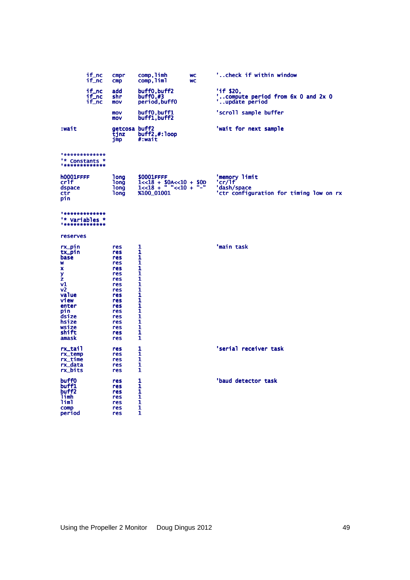|                                                                                                                                                              | if_nc<br>if_nc          | cmpr<br>cmp                                                                                                                | comp, limh<br>comp, liml                                                                          | <b>WC</b><br><b>WC</b> | 'check if within window                                                           |
|--------------------------------------------------------------------------------------------------------------------------------------------------------------|-------------------------|----------------------------------------------------------------------------------------------------------------------------|---------------------------------------------------------------------------------------------------|------------------------|-----------------------------------------------------------------------------------|
|                                                                                                                                                              | if_nc<br>if_nc<br>if_nc | add<br>shr<br>mov                                                                                                          | buff0, buff2<br>buff0,#3<br>period, buff0                                                         |                        | 'if \$20,<br>compute period from 6x 0 and 2x 0<br>update period                   |
|                                                                                                                                                              |                         | mov<br>mov                                                                                                                 | buff0,buff1<br>buff1, buff2                                                                       |                        | 'scroll sample buffer                                                             |
| :wait                                                                                                                                                        |                         | getcosa buff2<br>tjnz<br>jmp                                                                                               | $\text{buff2},\#:\text{loop}$<br>#:wait                                                           |                        | 'wait for next sample                                                             |
| **************<br>"* Constants *<br>**************                                                                                                           |                         |                                                                                                                            |                                                                                                   |                        |                                                                                   |
| <b>h0001FFFF</b><br>cr1f<br>dspace<br>ctr<br>pin                                                                                                             |                         | <b>long</b><br><b>Tong</b><br><b>long</b><br><b>long</b>                                                                   | \$0001FFFF<br>$1 < 18 + 504 < 10 + 500$<br>$1 < 18 +  < 10 + $<br>%100_01001                      |                        | 'memory limit<br>'cr/lf<br>'dash/space<br>'ctr configuration for timing low on rx |
| **************<br>"* Variables *<br>* * * * * * * * * * * * * * *                                                                                            |                         |                                                                                                                            |                                                                                                   |                        |                                                                                   |
| reserves                                                                                                                                                     |                         |                                                                                                                            |                                                                                                   |                        |                                                                                   |
| $rx\_pin$<br>tx_pin<br>base<br>W<br>x<br>y<br>z<br><b>v1</b><br>v <sub>2</sub><br>value<br>view<br>enter<br>pin<br>dsize<br>hsize<br>wsize<br>shift<br>amask |                         | res<br>res<br>res<br>res<br>res<br>res<br>res<br>res<br>res<br>res<br>res<br>res<br>res<br>res<br>res<br>res<br>res<br>res | 1<br>1<br>1<br>1<br>1<br>1<br>ī<br>1<br>1<br>$\mathbf{1}$<br>1<br>1<br>1<br>1<br>1<br>1<br>1<br>1 |                        | 'main task                                                                        |
| rx_tail<br>rx_temp<br>rx_time<br>rx_data<br>rx_bits                                                                                                          |                         | res<br>res<br>res<br>res<br>res                                                                                            | 1<br>1<br>1<br>1<br>1                                                                             |                        | 'serial receiver task                                                             |
| buff0<br>buff1<br>buff <sub>2</sub><br>limh<br>liml<br><b>COMD</b><br>period                                                                                 |                         | res<br>res<br>res<br>res<br>res<br>res<br>res                                                                              | 1<br>1<br>1<br>1<br>1<br>1<br>1                                                                   |                        | 'baud detector task                                                               |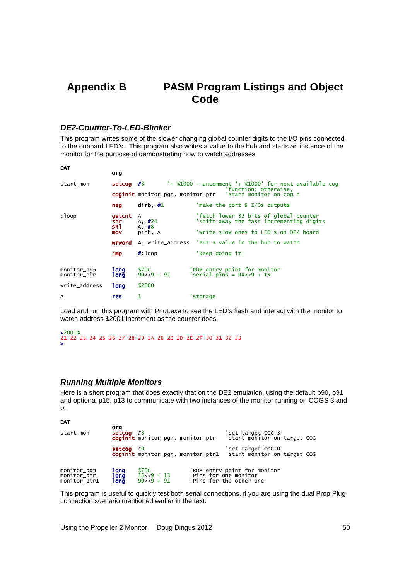# **Appendix B PASM Program Listings and Object Code**

## **DE2-Counter-To-LED-Blinker**

This program writes some of the slower changing global counter digits to the I/O pins connected to the onboard LED's. This program also writes a value to the hub and starts an instance of the monitor for the purpose of demonstrating how to watch addresses.

| <b>DAT</b>                 |                                                          |                         |                                                                                     |  |  |
|----------------------------|----------------------------------------------------------|-------------------------|-------------------------------------------------------------------------------------|--|--|
|                            | org                                                      |                         |                                                                                     |  |  |
| start_mon                  | $setcog$ #3                                              |                         | '+ $%1000$ --uncomment '+ $%1000$ ' for next available cog<br>'function; otherwise, |  |  |
|                            | coginit monitor_pgm, monitor_ptr 'start monitor on cog n |                         |                                                                                     |  |  |
|                            | neg                                                      | dirb, $\#1$             | 'make the port $B I/Os$ outputs                                                     |  |  |
| : loop                     | <b>getcnt</b><br>shr<br>sh1                              | A<br>A, $\#24$<br>A, #8 | 'fetch lower 32 bits of global counter<br>'shift away the fast incrementing digits  |  |  |
|                            | mov                                                      | pinb, A                 | 'write slow ones to LED's on DE2 board                                              |  |  |
|                            |                                                          |                         | <b>wrword</b> A, write_address 'Put a value in the hub to watch                     |  |  |
|                            | jmp                                                      | $\#$ : 100p             | 'keep doing it!                                                                     |  |  |
| monitor_pgm<br>monitor_ptr | 1ong<br>1ong                                             | \$70C<br>$90 < 9 + 91$  | 'ROM entry point for monitor<br>'serial pins = $RX < 9 + TX$                        |  |  |
| write_address              | <b>long</b>                                              | \$2000                  |                                                                                     |  |  |
| A                          | <b>res</b>                                               | 1                       | 'storage                                                                            |  |  |

Load and run this program with Pnut.exe to see the LED's flash and interact with the monitor to watch address \$2001 increment as the counter does.

```
>2001@
21 22 23 24 25 26 27 28 29 2A 2B 2C 2D 2E 2F 30 31 32 33 
>
```
## **Running Multiple Monitors**

Here is a short program that does exactly that on the DE2 emulation, using the default p90, p91 and optional p15, p13 to communicate with two instances of the monitor running on COGS 3 and 0.

**DAT** 

| start_mon                                  | org<br>setcog                 | #3                                      | coginit monitor_pgm, monitor_ptr | 'set target COG 3<br>'start monitor on target COG                                   |  |  |
|--------------------------------------------|-------------------------------|-----------------------------------------|----------------------------------|-------------------------------------------------------------------------------------|--|--|
|                                            | $setcog$ #0                   |                                         |                                  | 'set target COG 0<br>coginit monitor_pgm, monitor_ptr1 'start monitor on target COG |  |  |
| monitor_pgm<br>monitor_ptr<br>monitor_ptr1 | 1ong<br><b>long</b><br>1 on g | \$70C<br>$15 < 9 + 13$<br>$90 < 9 + 91$ | 'Pins for one monitor            | 'ROM entry point for monitor<br>'Pins for the other one                             |  |  |

This program is useful to quickly test both serial connections, if you are using the dual Prop Plug connection scenario mentioned earlier in the text.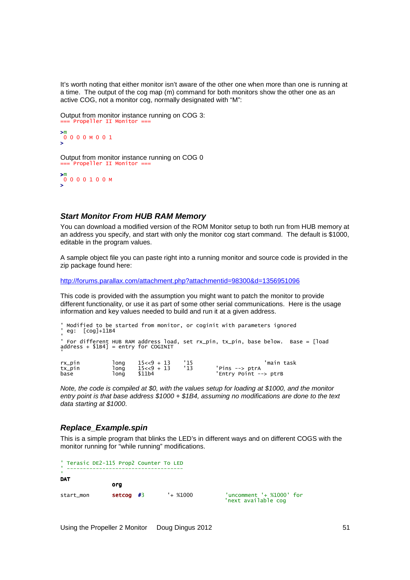It's worth noting that either monitor isn't aware of the other one when more than one is running at a time. The output of the cog map (m) command for both monitors show the other one as an active COG, not a monitor cog, normally designated with "M":

Output from monitor instance running on COG 3: === Propeller II Monitor ===

$$
\begin{array}{c}\n>^m \\
0 & 0 & 0 & 0 & M & 0 & 0 & 1 \\
\end{array}
$$

Output from monitor instance running on COG 0 Propeller II Monitor =

>m 0 0 0 0 1 0 0 M >

# **Start Monitor From HUB RAM Memory**

You can download a modified version of the ROM Monitor setup to both run from HUB memory at an address you specify, and start with only the monitor cog start command. The default is \$1000, editable in the program values.

A sample object file you can paste right into a running monitor and source code is provided in the zip package found here:

http://forums.parallax.com/attachment.php?attachmentid=98300&d=1356951096

This code is provided with the assumption you might want to patch the monitor to provide different functionality, or use it as part of some other serial communications. Here is the usage information and key values needed to build and run it at a given address.

```
' Modified to be started from monitor, or coginit with parameters ignored 
' eg: [cog]+11B4 
' 
' For different HUB RAM address load, set rx_pin, tx_pin, base below. Base = [load 
address + $1B4] = entry for COGINIT 
'
rx_pin long 15<<9 + 13 '15 'main task 
tx_pin long 15<<9 + 13 '13 'Pins --> ptrA 
base long $11b4 'Entry Point --> ptrB
```
Note, the code is compiled at \$0, with the values setup for loading at \$1000, and the monitor entry point is that base address \$1000 + \$1B4, assuming no modifications are done to the text data starting at \$1000.

## **Replace\_Example.spin**

This is a simple program that blinks the LED's in different ways and on different COGS with the monitor running for "while running" modifications.

' Terasic DE2-115 Prop2 Counter To LED ' ------------------------------------ '<br>DAT org start\_mon setcog #3 '+ %1000 'uncomment '+ %1000' for 'next available cog